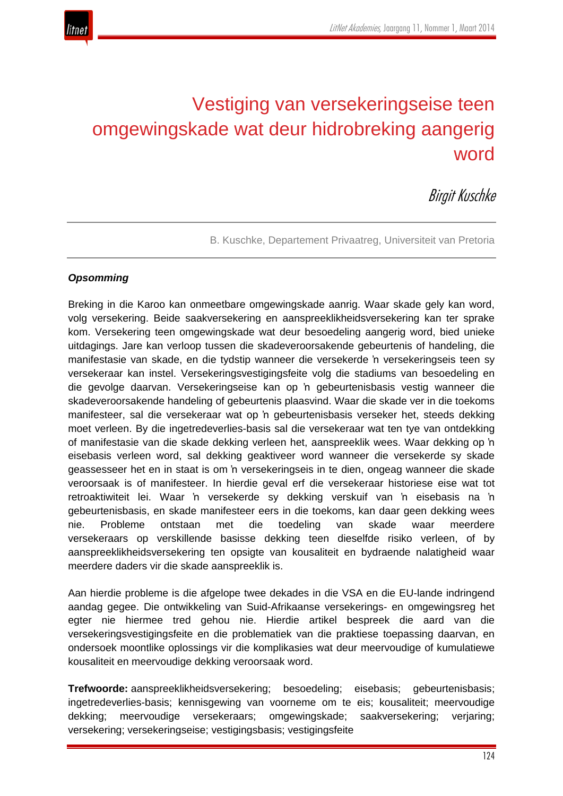

# Vestiging van versekeringseise teen omgewingskade wat deur hidrobreking aangerig word

Birgit Kuschke

B. Kuschke, Departement Privaatreg, Universiteit van Pretoria

#### *Opsomming*

Breking in die Karoo kan onmeetbare omgewingskade aanrig. Waar skade gely kan word, volg versekering. Beide saakversekering en aanspreeklikheidsversekering kan ter sprake kom. Versekering teen omgewingskade wat deur besoedeling aangerig word, bied unieke uitdagings. Jare kan verloop tussen die skadeveroorsakende gebeurtenis of handeling, die manifestasie van skade, en die tydstip wanneer die versekerde 'n versekeringseis teen sy versekeraar kan instel. Versekeringsvestigingsfeite volg die stadiums van besoedeling en die gevolge daarvan. Versekeringseise kan op 'n gebeurtenisbasis vestig wanneer die skadeveroorsakende handeling of gebeurtenis plaasvind. Waar die skade ver in die toekoms manifesteer, sal die versekeraar wat op 'n gebeurtenisbasis verseker het, steeds dekking moet verleen. By die ingetredeverlies-basis sal die versekeraar wat ten tye van ontdekking of manifestasie van die skade dekking verleen het, aanspreeklik wees. Waar dekking op 'n eisebasis verleen word, sal dekking geaktiveer word wanneer die versekerde sy skade geassesseer het en in staat is om 'n versekeringseis in te dien, ongeag wanneer die skade veroorsaak is of manifesteer. In hierdie geval erf die versekeraar historiese eise wat tot retroaktiwiteit lei. Waar 'n versekerde sy dekking verskuif van 'n eisebasis na 'n gebeurtenisbasis, en skade manifesteer eers in die toekoms, kan daar geen dekking wees nie. Probleme ontstaan met die toedeling van skade waar meerdere versekeraars op verskillende basisse dekking teen dieselfde risiko verleen, of by aanspreeklikheidsversekering ten opsigte van kousaliteit en bydraende nalatigheid waar meerdere daders vir die skade aanspreeklik is.

Aan hierdie probleme is die afgelope twee dekades in die VSA en die EU-lande indringend aandag gegee. Die ontwikkeling van Suid-Afrikaanse versekerings- en omgewingsreg het egter nie hiermee tred gehou nie. Hierdie artikel bespreek die aard van die versekeringsvestigingsfeite en die problematiek van die praktiese toepassing daarvan, en ondersoek moontlike oplossings vir die komplikasies wat deur meervoudige of kumulatiewe kousaliteit en meervoudige dekking veroorsaak word.

**Trefwoorde:** aanspreeklikheidsversekering; besoedeling; eisebasis; gebeurtenisbasis; ingetredeverlies-basis; kennisgewing van voorneme om te eis; kousaliteit; meervoudige dekking; meervoudige versekeraars; omgewingskade; saakversekering; verjaring; versekering; versekeringseise; vestigingsbasis; vestigingsfeite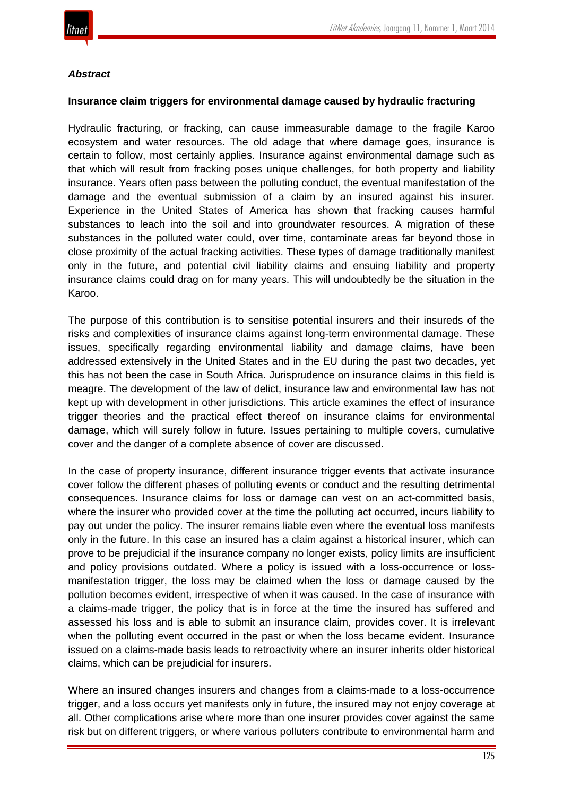

#### *Abstract*

#### **Insurance claim triggers for environmental damage caused by hydraulic fracturing**

Hydraulic fracturing, or fracking, can cause immeasurable damage to the fragile Karoo ecosystem and water resources. The old adage that where damage goes, insurance is certain to follow, most certainly applies. Insurance against environmental damage such as that which will result from fracking poses unique challenges, for both property and liability insurance. Years often pass between the polluting conduct, the eventual manifestation of the damage and the eventual submission of a claim by an insured against his insurer. Experience in the United States of America has shown that fracking causes harmful substances to leach into the soil and into groundwater resources. A migration of these substances in the polluted water could, over time, contaminate areas far beyond those in close proximity of the actual fracking activities. These types of damage traditionally manifest only in the future, and potential civil liability claims and ensuing liability and property insurance claims could drag on for many years. This will undoubtedly be the situation in the Karoo.

The purpose of this contribution is to sensitise potential insurers and their insureds of the risks and complexities of insurance claims against long-term environmental damage. These issues, specifically regarding environmental liability and damage claims, have been addressed extensively in the United States and in the EU during the past two decades, yet this has not been the case in South Africa. Jurisprudence on insurance claims in this field is meagre. The development of the law of delict, insurance law and environmental law has not kept up with development in other jurisdictions. This article examines the effect of insurance trigger theories and the practical effect thereof on insurance claims for environmental damage, which will surely follow in future. Issues pertaining to multiple covers, cumulative cover and the danger of a complete absence of cover are discussed.

In the case of property insurance, different insurance trigger events that activate insurance cover follow the different phases of polluting events or conduct and the resulting detrimental consequences. Insurance claims for loss or damage can vest on an act-committed basis, where the insurer who provided cover at the time the polluting act occurred, incurs liability to pay out under the policy. The insurer remains liable even where the eventual loss manifests only in the future. In this case an insured has a claim against a historical insurer, which can prove to be prejudicial if the insurance company no longer exists, policy limits are insufficient and policy provisions outdated. Where a policy is issued with a loss-occurrence or lossmanifestation trigger, the loss may be claimed when the loss or damage caused by the pollution becomes evident, irrespective of when it was caused. In the case of insurance with a claims-made trigger, the policy that is in force at the time the insured has suffered and assessed his loss and is able to submit an insurance claim, provides cover. It is irrelevant when the polluting event occurred in the past or when the loss became evident. Insurance issued on a claims-made basis leads to retroactivity where an insurer inherits older historical claims, which can be prejudicial for insurers.

Where an insured changes insurers and changes from a claims-made to a loss-occurrence trigger, and a loss occurs yet manifests only in future, the insured may not enjoy coverage at all. Other complications arise where more than one insurer provides cover against the same risk but on different triggers, or where various polluters contribute to environmental harm and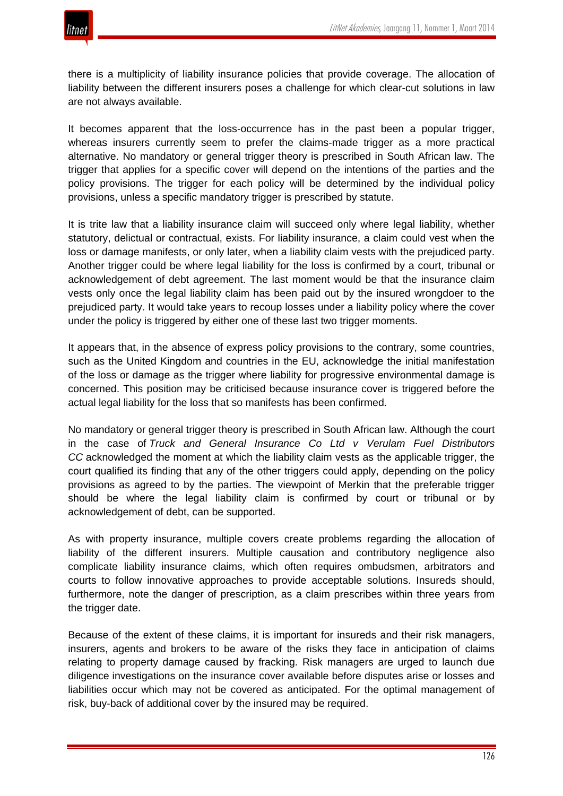

there is a multiplicity of liability insurance policies that provide coverage. The allocation of liability between the different insurers poses a challenge for which clear-cut solutions in law are not always available.

It becomes apparent that the loss-occurrence has in the past been a popular trigger, whereas insurers currently seem to prefer the claims-made trigger as a more practical alternative. No mandatory or general trigger theory is prescribed in South African law. The trigger that applies for a specific cover will depend on the intentions of the parties and the policy provisions. The trigger for each policy will be determined by the individual policy provisions, unless a specific mandatory trigger is prescribed by statute.

It is trite law that a liability insurance claim will succeed only where legal liability, whether statutory, delictual or contractual, exists. For liability insurance, a claim could vest when the loss or damage manifests, or only later, when a liability claim vests with the prejudiced party. Another trigger could be where legal liability for the loss is confirmed by a court, tribunal or acknowledgement of debt agreement. The last moment would be that the insurance claim vests only once the legal liability claim has been paid out by the insured wrongdoer to the prejudiced party. It would take years to recoup losses under a liability policy where the cover under the policy is triggered by either one of these last two trigger moments.

It appears that, in the absence of express policy provisions to the contrary, some countries, such as the United Kingdom and countries in the EU, acknowledge the initial manifestation of the loss or damage as the trigger where liability for progressive environmental damage is concerned. This position may be criticised because insurance cover is triggered before the actual legal liability for the loss that so manifests has been confirmed.

No mandatory or general trigger theory is prescribed in South African law. Although the court in the case of *Truck and General Insurance Co Ltd v Verulam Fuel Distributors CC* acknowledged the moment at which the liability claim vests as the applicable trigger, the court qualified its finding that any of the other triggers could apply, depending on the policy provisions as agreed to by the parties. The viewpoint of Merkin that the preferable trigger should be where the legal liability claim is confirmed by court or tribunal or by acknowledgement of debt, can be supported.

As with property insurance, multiple covers create problems regarding the allocation of liability of the different insurers. Multiple causation and contributory negligence also complicate liability insurance claims, which often requires ombudsmen, arbitrators and courts to follow innovative approaches to provide acceptable solutions. Insureds should, furthermore, note the danger of prescription, as a claim prescribes within three years from the trigger date.

Because of the extent of these claims, it is important for insureds and their risk managers, insurers, agents and brokers to be aware of the risks they face in anticipation of claims relating to property damage caused by fracking. Risk managers are urged to launch due diligence investigations on the insurance cover available before disputes arise or losses and liabilities occur which may not be covered as anticipated. For the optimal management of risk, buy-back of additional cover by the insured may be required.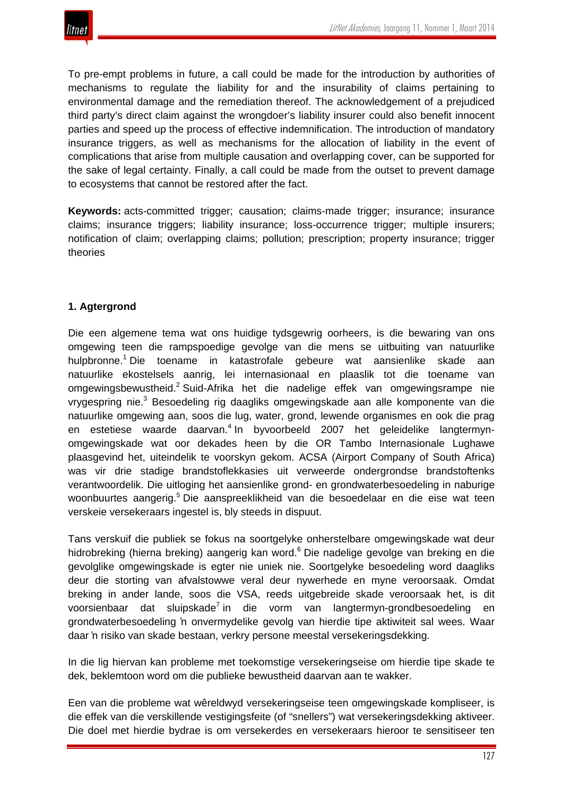To pre-empt problems in future, a call could be made for the introduction by authorities of mechanisms to regulate the liability for and the insurability of claims pertaining to environmental damage and the remediation thereof. The acknowledgement of a prejudiced third party's direct claim against the wrongdoer's liability insurer could also benefit innocent parties and speed up the process of effective indemnification. The introduction of mandatory insurance triggers, as well as mechanisms for the allocation of liability in the event of complications that arise from multiple causation and overlapping cover, can be supported for the sake of legal certainty. Finally, a call could be made from the outset to prevent damage to ecosystems that cannot be restored after the fact.

**Keywords:** acts-committed trigger; causation; claims-made trigger; insurance; insurance claims; insurance triggers; liability insurance; loss-occurrence trigger; multiple insurers; notification of claim; overlapping claims; pollution; prescription; property insurance; trigger theories

# **1. Agtergrond**

Die een algemene tema wat ons huidige tydsgewrig oorheers, is die bewaring van ons omgewing teen die rampspoedige gevolge van die mens se uitbuiting van natuurlike hulpbronne.1 Die toename in katastrofale gebeure wat aansienlike skade aan natuurlike ekostelsels aanrig, lei internasionaal en plaaslik tot die toename van omgewingsbewustheid.2 Suid-Afrika het die nadelige effek van omgewingsrampe nie vrygespring nie.<sup>3</sup> Besoedeling rig daagliks omgewingskade aan alle komponente van die natuurlike omgewing aan, soos die lug, water, grond, lewende organismes en ook die prag en estetiese waarde daarvan.<sup>4</sup> In byvoorbeeld 2007 het geleidelike langtermynomgewingskade wat oor dekades heen by die OR Tambo Internasionale Lughawe plaasgevind het, uiteindelik te voorskyn gekom. ACSA (Airport Company of South Africa) was vir drie stadige brandstoflekkasies uit verweerde ondergrondse brandstoftenks verantwoordelik. Die uitloging het aansienlike grond- en grondwaterbesoedeling in naburige woonbuurtes aangerig.<sup>5</sup> Die aanspreeklikheid van die besoedelaar en die eise wat teen verskeie versekeraars ingestel is, bly steeds in dispuut.

Tans verskuif die publiek se fokus na soortgelyke onherstelbare omgewingskade wat deur hidrobreking (hierna breking) aangerig kan word.<sup>6</sup> Die nadelige gevolge van breking en die gevolglike omgewingskade is egter nie uniek nie. Soortgelyke besoedeling word daagliks deur die storting van afvalstowwe veral deur nywerhede en myne veroorsaak. Omdat breking in ander lande, soos die VSA, reeds uitgebreide skade veroorsaak het, is dit voorsienbaar dat sluipskade<sup>7</sup> in die vorm van langtermyn-grondbesoedeling en grondwaterbesoedeling 'n onvermydelike gevolg van hierdie tipe aktiwiteit sal wees. Waar daar 'n risiko van skade bestaan, verkry persone meestal versekeringsdekking.

In die lig hiervan kan probleme met toekomstige versekeringseise om hierdie tipe skade te dek, beklemtoon word om die publieke bewustheid daarvan aan te wakker.

Een van die probleme wat wêreldwyd versekeringseise teen omgewingskade kompliseer, is die effek van die verskillende vestigingsfeite (of "snellers") wat versekeringsdekking aktiveer. Die doel met hierdie bydrae is om versekerdes en versekeraars hieroor te sensitiseer ten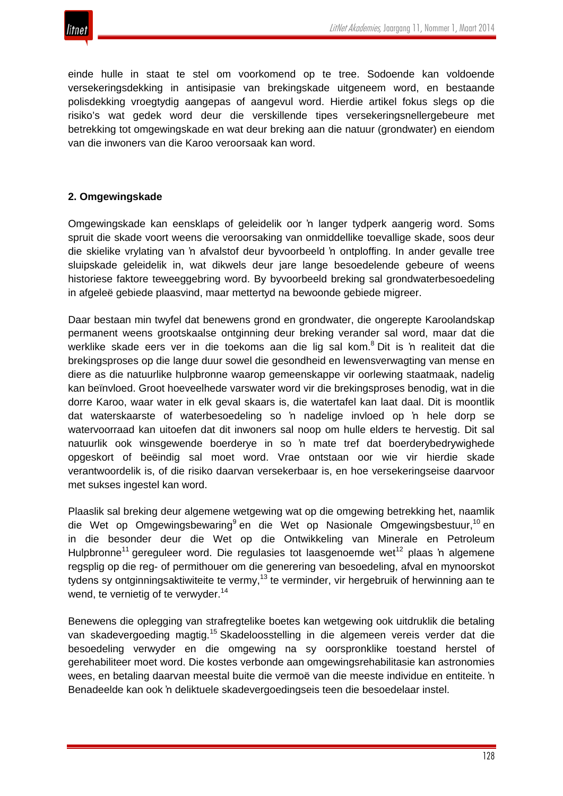einde hulle in staat te stel om voorkomend op te tree. Sodoende kan voldoende versekeringsdekking in antisipasie van brekingskade uitgeneem word, en bestaande polisdekking vroegtydig aangepas of aangevul word. Hierdie artikel fokus slegs op die risiko's wat gedek word deur die verskillende tipes versekeringsnellergebeure met betrekking tot omgewingskade en wat deur breking aan die natuur (grondwater) en eiendom van die inwoners van die Karoo veroorsaak kan word.

# **2. Omgewingskade**

Omgewingskade kan eensklaps of geleidelik oor 'n langer tydperk aangerig word. Soms spruit die skade voort weens die veroorsaking van onmiddellike toevallige skade, soos deur die skielike vrylating van 'n afvalstof deur byvoorbeeld 'n ontploffing. In ander gevalle tree sluipskade geleidelik in, wat dikwels deur jare lange besoedelende gebeure of weens historiese faktore teweeggebring word. By byvoorbeeld breking sal grondwaterbesoedeling in afgeleë gebiede plaasvind, maar mettertyd na bewoonde gebiede migreer.

Daar bestaan min twyfel dat benewens grond en grondwater, die ongerepte Karoolandskap permanent weens grootskaalse ontginning deur breking verander sal word, maar dat die werklike skade eers ver in die toekoms aan die lig sal kom.<sup>8</sup> Dit is 'n realiteit dat die brekingsproses op die lange duur sowel die gesondheid en lewensverwagting van mense en diere as die natuurlike hulpbronne waarop gemeenskappe vir oorlewing staatmaak, nadelig kan beïnvloed. Groot hoeveelhede varswater word vir die brekingsproses benodig, wat in die dorre Karoo, waar water in elk geval skaars is, die watertafel kan laat daal. Dit is moontlik dat waterskaarste of waterbesoedeling so 'n nadelige invloed op 'n hele dorp se watervoorraad kan uitoefen dat dit inwoners sal noop om hulle elders te hervestig. Dit sal natuurlik ook winsgewende boerderye in so 'n mate tref dat boerderybedrywighede opgeskort of beëindig sal moet word. Vrae ontstaan oor wie vir hierdie skade verantwoordelik is, of die risiko daarvan versekerbaar is, en hoe versekeringseise daarvoor met sukses ingestel kan word.

Plaaslik sal breking deur algemene wetgewing wat op die omgewing betrekking het, naamlik die Wet op Omgewingsbewaring<sup>9</sup> en die Wet op Nasionale Omgewingsbestuur,<sup>10</sup> en in die besonder deur die Wet op die Ontwikkeling van Minerale en Petroleum Hulpbronne<sup>11</sup> gereguleer word. Die regulasies tot laasgenoemde wet<sup>12</sup> plaas 'n algemene regsplig op die reg- of permithouer om die generering van besoedeling, afval en mynoorskot tydens sy ontginningsaktiwiteite te vermy,<sup>13</sup> te verminder, vir hergebruik of herwinning aan te wend, te vernietig of te verwyder.<sup>14</sup>

Benewens die oplegging van strafregtelike boetes kan wetgewing ook uitdruklik die betaling van skadevergoeding magtig.<sup>15</sup> Skadeloosstelling in die algemeen vereis verder dat die besoedeling verwyder en die omgewing na sy oorspronklike toestand herstel of gerehabiliteer moet word. Die kostes verbonde aan omgewingsrehabilitasie kan astronomies wees, en betaling daarvan meestal buite die vermoë van die meeste individue en entiteite. 'n Benadeelde kan ook 'n deliktuele skadevergoedingseis teen die besoedelaar instel.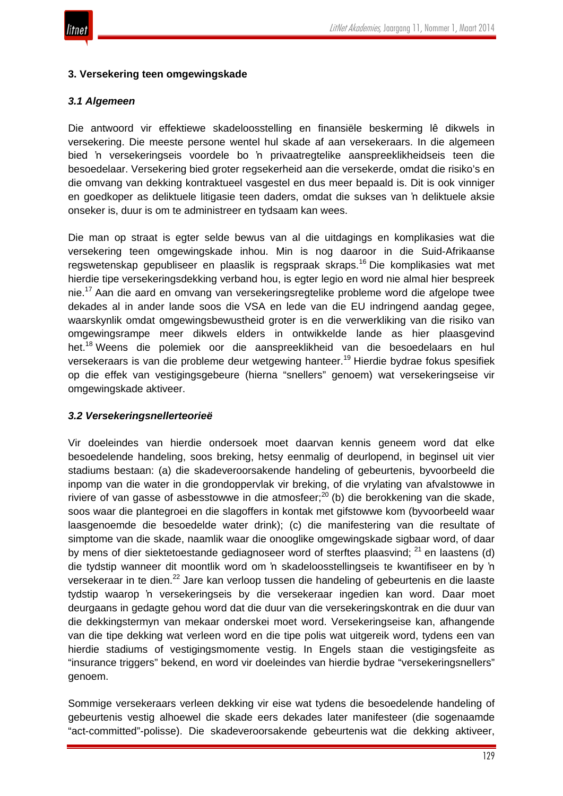

## **3. Versekering teen omgewingskade**

# *3.1 Algemeen*

Die antwoord vir effektiewe skadeloosstelling en finansiële beskerming lê dikwels in versekering. Die meeste persone wentel hul skade af aan versekeraars. In die algemeen bied 'n versekeringseis voordele bo 'n privaatregtelike aanspreeklikheidseis teen die besoedelaar. Versekering bied groter regsekerheid aan die versekerde, omdat die risiko's en die omvang van dekking kontraktueel vasgestel en dus meer bepaald is. Dit is ook vinniger en goedkoper as deliktuele litigasie teen daders, omdat die sukses van 'n deliktuele aksie onseker is, duur is om te administreer en tydsaam kan wees.

Die man op straat is egter selde bewus van al die uitdagings en komplikasies wat die versekering teen omgewingskade inhou. Min is nog daaroor in die Suid-Afrikaanse regswetenskap gepubliseer en plaaslik is regspraak skraps.<sup>16</sup> Die komplikasies wat met hierdie tipe versekeringsdekking verband hou, is egter legio en word nie almal hier bespreek nie.<sup>17</sup> Aan die aard en omvang van versekeringsregtelike probleme word die afgelope twee dekades al in ander lande soos die VSA en lede van die EU indringend aandag gegee, waarskynlik omdat omgewingsbewustheid groter is en die verwerkliking van die risiko van omgewingsrampe meer dikwels elders in ontwikkelde lande as hier plaasgevind het.<sup>18</sup> Weens die polemiek oor die aanspreeklikheid van die besoedelaars en hul versekeraars is van die probleme deur wetgewing hanteer.<sup>19</sup> Hierdie bydrae fokus spesifiek op die effek van vestigingsgebeure (hierna "snellers" genoem) wat versekeringseise vir omgewingskade aktiveer.

## *3.2 Versekeringsnellerteorieë*

Vir doeleindes van hierdie ondersoek moet daarvan kennis geneem word dat elke besoedelende handeling, soos breking, hetsy eenmalig of deurlopend, in beginsel uit vier stadiums bestaan: (a) die skadeveroorsakende handeling of gebeurtenis, byvoorbeeld die inpomp van die water in die grondoppervlak vir breking, of die vrylating van afvalstowwe in riviere of van gasse of asbesstowwe in die atmosfeer;<sup>20</sup> (b) die berokkening van die skade, soos waar die plantegroei en die slagoffers in kontak met gifstowwe kom (byvoorbeeld waar laasgenoemde die besoedelde water drink); (c) die manifestering van die resultate of simptome van die skade, naamlik waar die onooglike omgewingskade sigbaar word, of daar by mens of dier siektetoestande gediagnoseer word of sterftes plaasvind;  $21$  en laastens (d) die tydstip wanneer dit moontlik word om 'n skadeloosstellingseis te kwantifiseer en by 'n versekeraar in te dien.<sup>22</sup> Jare kan verloop tussen die handeling of gebeurtenis en die laaste tydstip waarop 'n versekeringseis by die versekeraar ingedien kan word. Daar moet deurgaans in gedagte gehou word dat die duur van die versekeringskontrak en die duur van die dekkingstermyn van mekaar onderskei moet word. Versekeringseise kan, afhangende van die tipe dekking wat verleen word en die tipe polis wat uitgereik word, tydens een van hierdie stadiums of vestigingsmomente vestig. In Engels staan die vestigingsfeite as "insurance triggers" bekend, en word vir doeleindes van hierdie bydrae "versekeringsnellers" genoem.

Sommige versekeraars verleen dekking vir eise wat tydens die besoedelende handeling of gebeurtenis vestig alhoewel die skade eers dekades later manifesteer (die sogenaamde "act-committed"-polisse). Die skadeveroorsakende gebeurtenis wat die dekking aktiveer,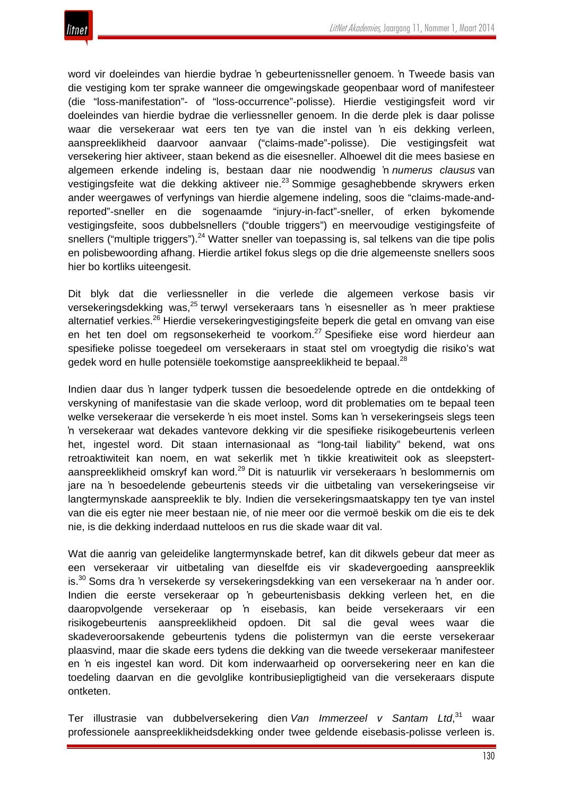

word vir doeleindes van hierdie bydrae 'n gebeurtenissneller genoem. 'n Tweede basis van die vestiging kom ter sprake wanneer die omgewingskade geopenbaar word of manifesteer (die "loss-manifestation"- of "loss-occurrence"-polisse). Hierdie vestigingsfeit word vir doeleindes van hierdie bydrae die verliessneller genoem. In die derde plek is daar polisse waar die versekeraar wat eers ten tye van die instel van 'n eis dekking verleen, aanspreeklikheid daarvoor aanvaar ("claims-made"-polisse). Die vestigingsfeit wat versekering hier aktiveer, staan bekend as die eisesneller. Alhoewel dit die mees basiese en algemeen erkende indeling is, bestaan daar nie noodwendig 'n *numerus clausus* van vestigingsfeite wat die dekking aktiveer nie.<sup>23</sup> Sommige gesaghebbende skrywers erken ander weergawes of verfynings van hierdie algemene indeling, soos die "claims-made-andreported"-sneller en die sogenaamde "injury-in-fact"-sneller, of erken bykomende vestigingsfeite, soos dubbelsnellers ("double triggers") en meervoudige vestigingsfeite of snellers ("multiple triggers").<sup>24</sup> Watter sneller van toepassing is, sal telkens van die tipe polis en polisbewoording afhang. Hierdie artikel fokus slegs op die drie algemeenste snellers soos hier bo kortliks uiteengesit.

Dit blyk dat die verliessneller in die verlede die algemeen verkose basis vir versekeringsdekking was,<sup>25</sup> terwyl versekeraars tans 'n eisesneller as 'n meer praktiese alternatief verkies.<sup>26</sup> Hierdie versekeringvestigingsfeite beperk die getal en omvang van eise en het ten doel om regsonsekerheid te voorkom.<sup>27</sup> Spesifieke eise word hierdeur aan spesifieke polisse toegedeel om versekeraars in staat stel om vroegtydig die risiko's wat gedek word en hulle potensiële toekomstige aanspreeklikheid te bepaal.<sup>28</sup>

Indien daar dus 'n langer tydperk tussen die besoedelende optrede en die ontdekking of verskyning of manifestasie van die skade verloop, word dit problematies om te bepaal teen welke versekeraar die versekerde 'n eis moet instel. Soms kan 'n versekeringseis slegs teen 'n versekeraar wat dekades vantevore dekking vir die spesifieke risikogebeurtenis verleen het, ingestel word. Dit staan internasionaal as "long-tail liability" bekend, wat ons retroaktiwiteit kan noem, en wat sekerlik met 'n tikkie kreatiwiteit ook as sleepstertaanspreeklikheid omskryf kan word.<sup>29</sup> Dit is natuurlik vir versekeraars 'n beslommernis om jare na 'n besoedelende gebeurtenis steeds vir die uitbetaling van versekeringseise vir langtermynskade aanspreeklik te bly. Indien die versekeringsmaatskappy ten tye van instel van die eis egter nie meer bestaan nie, of nie meer oor die vermoë beskik om die eis te dek nie, is die dekking inderdaad nutteloos en rus die skade waar dit val.

Wat die aanrig van geleidelike langtermynskade betref, kan dit dikwels gebeur dat meer as een versekeraar vir uitbetaling van dieselfde eis vir skadevergoeding aanspreeklik is.<sup>30</sup> Soms dra 'n versekerde sy versekeringsdekking van een versekeraar na 'n ander oor. Indien die eerste versekeraar op 'n gebeurtenisbasis dekking verleen het, en die daaropvolgende versekeraar op 'n eisebasis, kan beide versekeraars vir een risikogebeurtenis aanspreeklikheid opdoen. Dit sal die geval wees waar die skadeveroorsakende gebeurtenis tydens die polistermyn van die eerste versekeraar plaasvind, maar die skade eers tydens die dekking van die tweede versekeraar manifesteer en 'n eis ingestel kan word. Dit kom inderwaarheid op oorversekering neer en kan die toedeling daarvan en die gevolglike kontribusiepligtigheid van die versekeraars dispute ontketen.

Ter illustrasie van dubbelversekering dien *Van Immerzeel v Santam Ltd*, waar professionele aanspreeklikheidsdekking onder twee geldende eisebasis-polisse verleen is.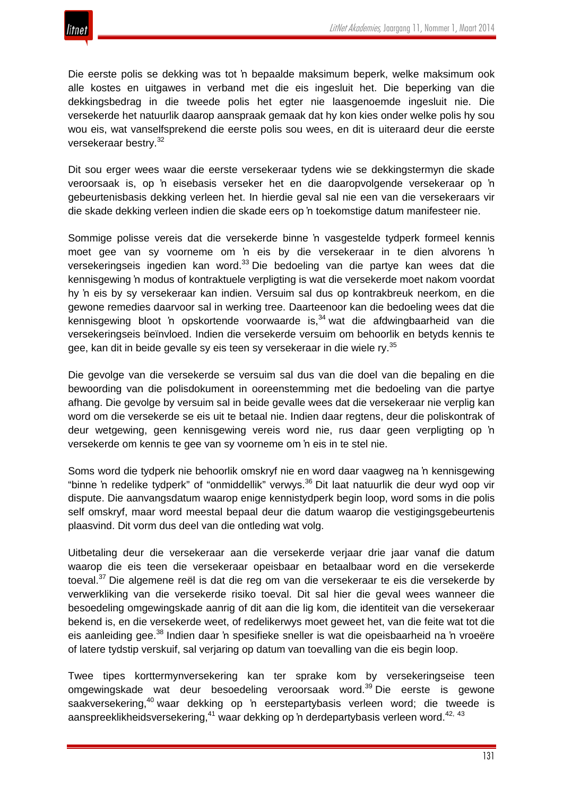

Die eerste polis se dekking was tot 'n bepaalde maksimum beperk, welke maksimum ook alle kostes en uitgawes in verband met die eis ingesluit het. Die beperking van die dekkingsbedrag in die tweede polis het egter nie laasgenoemde ingesluit nie. Die versekerde het natuurlik daarop aanspraak gemaak dat hy kon kies onder welke polis hy sou wou eis, wat vanselfsprekend die eerste polis sou wees, en dit is uiteraard deur die eerste versekeraar bestry.<sup>32</sup>

Dit sou erger wees waar die eerste versekeraar tydens wie se dekkingstermyn die skade veroorsaak is, op 'n eisebasis verseker het en die daaropvolgende versekeraar op 'n gebeurtenisbasis dekking verleen het. In hierdie geval sal nie een van die versekeraars vir die skade dekking verleen indien die skade eers op 'n toekomstige datum manifesteer nie.

Sommige polisse vereis dat die versekerde binne 'n vasgestelde tydperk formeel kennis moet gee van sy voorneme om 'n eis by die versekeraar in te dien alvorens 'n versekeringseis ingedien kan word.<sup>33</sup> Die bedoeling van die partye kan wees dat die kennisgewing 'n modus of kontraktuele verpligting is wat die versekerde moet nakom voordat hy 'n eis by sy versekeraar kan indien. Versuim sal dus op kontrakbreuk neerkom, en die gewone remedies daarvoor sal in werking tree. Daarteenoor kan die bedoeling wees dat die kennisgewing bloot 'n opskortende voorwaarde is.<sup>34</sup> wat die afdwingbaarheid van die versekeringseis beïnvloed. Indien die versekerde versuim om behoorlik en betyds kennis te gee, kan dit in beide gevalle sy eis teen sy versekeraar in die wiele ry.<sup>35</sup>

Die gevolge van die versekerde se versuim sal dus van die doel van die bepaling en die bewoording van die polisdokument in ooreenstemming met die bedoeling van die partye afhang. Die gevolge by versuim sal in beide gevalle wees dat die versekeraar nie verplig kan word om die versekerde se eis uit te betaal nie. Indien daar regtens, deur die poliskontrak of deur wetgewing, geen kennisgewing vereis word nie, rus daar geen verpligting op 'n versekerde om kennis te gee van sy voorneme om 'n eis in te stel nie.

Soms word die tydperk nie behoorlik omskryf nie en word daar vaagweg na 'n kennisgewing "binne 'n redelike tydperk" of "onmiddellik" verwys.<sup>36</sup> Dit laat natuurlik die deur wyd oop vir dispute. Die aanvangsdatum waarop enige kennistydperk begin loop, word soms in die polis self omskryf, maar word meestal bepaal deur die datum waarop die vestigingsgebeurtenis plaasvind. Dit vorm dus deel van die ontleding wat volg.

Uitbetaling deur die versekeraar aan die versekerde verjaar drie jaar vanaf die datum waarop die eis teen die versekeraar opeisbaar en betaalbaar word en die versekerde toeval.<sup>37</sup> Die algemene reël is dat die reg om van die versekeraar te eis die versekerde by verwerkliking van die versekerde risiko toeval. Dit sal hier die geval wees wanneer die besoedeling omgewingskade aanrig of dit aan die lig kom, die identiteit van die versekeraar bekend is, en die versekerde weet, of redelikerwys moet geweet het, van die feite wat tot die eis aanleiding gee.<sup>38</sup> Indien daar 'n spesifieke sneller is wat die opeisbaarheid na 'n vroeëre of latere tydstip verskuif, sal verjaring op datum van toevalling van die eis begin loop.

Twee tipes korttermynversekering kan ter sprake kom by versekeringseise teen omgewingskade wat deur besoedeling veroorsaak word.<sup>39</sup> Die eerste is gewone saakversekering,<sup>40</sup> waar dekking op 'n eerstepartybasis verleen word; die tweede is aanspreeklikheidsversekering,<sup>41</sup> waar dekking op 'n derdepartybasis verleen word.<sup>42, 43</sup>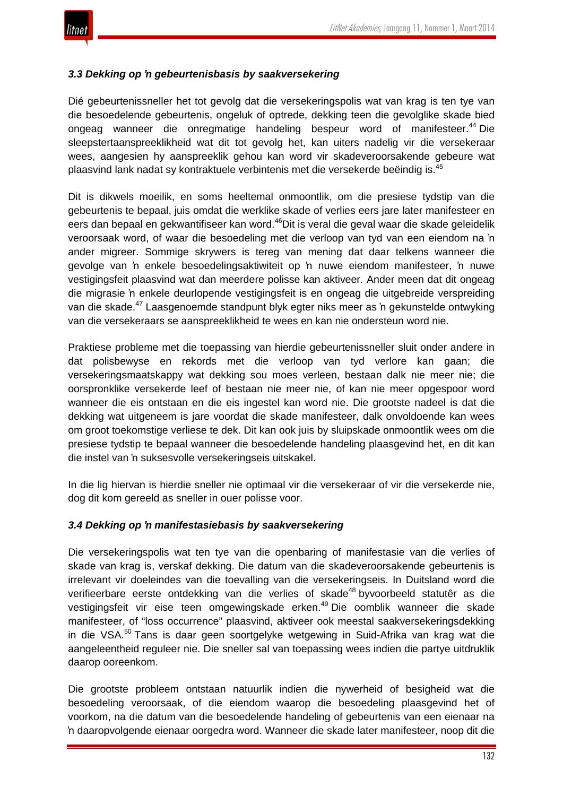## *3.3 Dekking op 'n gebeurtenisbasis by saakversekering*

Dié gebeurtenissneller het tot gevolg dat die versekeringspolis wat van krag is ten tye van die besoedelende gebeurtenis, ongeluk of optrede, dekking teen die gevolglike skade bied ongeag wanneer die onregmatige handeling bespeur word of manifesteer.<sup>44</sup> Die sleepstertaanspreeklikheid wat dit tot gevolg het, kan uiters nadelig vir die versekeraar wees, aangesien hy aanspreeklik gehou kan word vir skadeveroorsakende gebeure wat plaasvind lank nadat sy kontraktuele verbintenis met die versekerde beëindig is.<sup>45</sup>

Dit is dikwels moeilik, en soms heeltemal onmoontlik, om die presiese tydstip van die gebeurtenis te bepaal, juis omdat die werklike skade of verlies eers jare later manifesteer en eers dan bepaal en gekwantifiseer kan word.<sup>46</sup>Dit is veral die geval waar die skade geleidelik veroorsaak word, of waar die besoedeling met die verloop van tyd van een eiendom na 'n ander migreer. Sommige skrywers is tereg van mening dat daar telkens wanneer die gevolge van 'n enkele besoedelingsaktiwiteit op 'n nuwe eiendom manifesteer, 'n nuwe vestigingsfeit plaasvind wat dan meerdere polisse kan aktiveer. Ander meen dat dit ongeag die migrasie 'n enkele deurlopende vestigingsfeit is en ongeag die uitgebreide verspreiding van die skade.<sup>47</sup> Laasgenoemde standpunt blyk egter niks meer as 'n gekunstelde ontwyking van die versekeraars se aanspreeklikheid te wees en kan nie ondersteun word nie.

Praktiese probleme met die toepassing van hierdie gebeurtenissneller sluit onder andere in dat polisbewyse en rekords met die verloop van tyd verlore kan gaan; die versekeringsmaatskappy wat dekking sou moes verleen, bestaan dalk nie meer nie; die oorspronklike versekerde leef of bestaan nie meer nie, of kan nie meer opgespoor word wanneer die eis ontstaan en die eis ingestel kan word nie. Die grootste nadeel is dat die dekking wat uitgeneem is jare voordat die skade manifesteer, dalk onvoldoende kan wees om groot toekomstige verliese te dek. Dit kan ook juis by sluipskade onmoontlik wees om die presiese tydstip te bepaal wanneer die besoedelende handeling plaasgevind het, en dit kan die instel van 'n suksesvolle versekeringseis uitskakel.

In die lig hiervan is hierdie sneller nie optimaal vir die versekeraar of vir die versekerde nie, dog dit kom gereeld as sneller in ouer polisse voor.

## *3.4 Dekking op 'n manifestasiebasis by saakversekering*

Die versekeringspolis wat ten tye van die openbaring of manifestasie van die verlies of skade van krag is, verskaf dekking. Die datum van die skadeveroorsakende gebeurtenis is irrelevant vir doeleindes van die toevalling van die versekeringseis. In Duitsland word die verifieerbare eerste ontdekking van die verlies of skade<sup>48</sup> byvoorbeeld statutêr as die vestigingsfeit vir eise teen omgewingskade erken.<sup>49</sup> Die oomblik wanneer die skade manifesteer, of "loss occurrence" plaasvind, aktiveer ook meestal saakversekeringsdekking in die VSA.<sup>50</sup> Tans is daar geen soortgelyke wetgewing in Suid-Afrika van krag wat die aangeleentheid reguleer nie. Die sneller sal van toepassing wees indien die partye uitdruklik daarop ooreenkom.

Die grootste probleem ontstaan natuurlik indien die nywerheid of besigheid wat die besoedeling veroorsaak, of die eiendom waarop die besoedeling plaasgevind het of voorkom, na die datum van die besoedelende handeling of gebeurtenis van een eienaar na 'n daaropvolgende eienaar oorgedra word. Wanneer die skade later manifesteer, noop dit die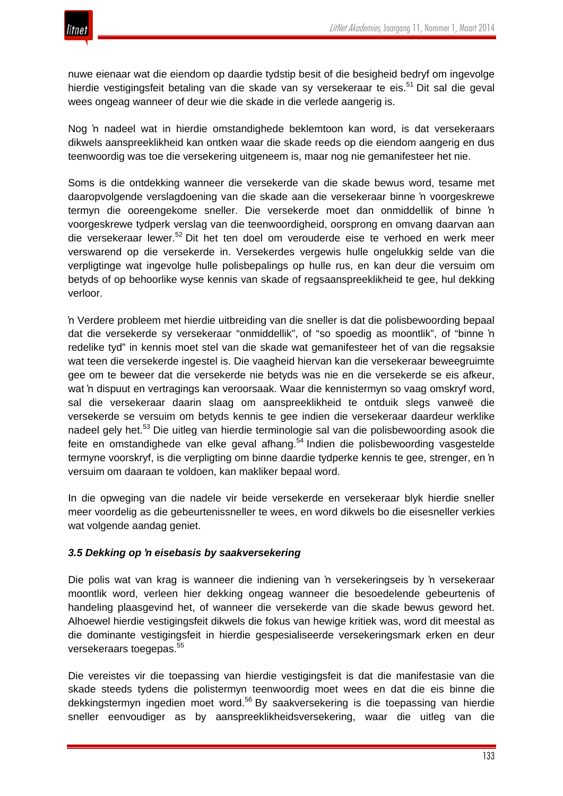

nuwe eienaar wat die eiendom op daardie tydstip besit of die besigheid bedryf om ingevolge hierdie vestigingsfeit betaling van die skade van sy versekeraar te eis.<sup>51</sup> Dit sal die geval wees ongeag wanneer of deur wie die skade in die verlede aangerig is.

Nog 'n nadeel wat in hierdie omstandighede beklemtoon kan word, is dat versekeraars dikwels aanspreeklikheid kan ontken waar die skade reeds op die eiendom aangerig en dus teenwoordig was toe die versekering uitgeneem is, maar nog nie gemanifesteer het nie.

Soms is die ontdekking wanneer die versekerde van die skade bewus word, tesame met daaropvolgende verslagdoening van die skade aan die versekeraar binne 'n voorgeskrewe termyn die ooreengekome sneller. Die versekerde moet dan onmiddellik of binne 'n voorgeskrewe tydperk verslag van die teenwoordigheid, oorsprong en omvang daarvan aan die versekeraar lewer.<sup>52</sup> Dit het ten doel om verouderde eise te verhoed en werk meer verswarend op die versekerde in. Versekerdes vergewis hulle ongelukkig selde van die verpligtinge wat ingevolge hulle polisbepalings op hulle rus, en kan deur die versuim om betyds of op behoorlike wyse kennis van skade of regsaanspreeklikheid te gee, hul dekking verloor.

'n Verdere probleem met hierdie uitbreiding van die sneller is dat die polisbewoording bepaal dat die versekerde sy versekeraar "onmiddellik", of "so spoedig as moontlik", of "binne 'n redelike tyd" in kennis moet stel van die skade wat gemanifesteer het of van die regsaksie wat teen die versekerde ingestel is. Die vaagheid hiervan kan die versekeraar beweegruimte gee om te beweer dat die versekerde nie betyds was nie en die versekerde se eis afkeur, wat 'n dispuut en vertragings kan veroorsaak. Waar die kennistermyn so vaag omskryf word, sal die versekeraar daarin slaag om aanspreeklikheid te ontduik slegs vanweë die versekerde se versuim om betyds kennis te gee indien die versekeraar daardeur werklike nadeel gely het.<sup>53</sup> Die uitleg van hierdie terminologie sal van die polisbewoording asook die feite en omstandighede van elke geval afhang.<sup>54</sup> Indien die polisbewoording vasgestelde termyne voorskryf, is die verpligting om binne daardie tydperke kennis te gee, strenger, en 'n versuim om daaraan te voldoen, kan makliker bepaal word.

In die opweging van die nadele vir beide versekerde en versekeraar blyk hierdie sneller meer voordelig as die gebeurtenissneller te wees, en word dikwels bo die eisesneller verkies wat volgende aandag geniet.

## *3.5 Dekking op 'n eisebasis by saakversekering*

Die polis wat van krag is wanneer die indiening van 'n versekeringseis by 'n versekeraar moontlik word, verleen hier dekking ongeag wanneer die besoedelende gebeurtenis of handeling plaasgevind het, of wanneer die versekerde van die skade bewus geword het. Alhoewel hierdie vestigingsfeit dikwels die fokus van hewige kritiek was, word dit meestal as die dominante vestigingsfeit in hierdie gespesialiseerde versekeringsmark erken en deur versekeraars toegepas.<sup>55</sup>

Die vereistes vir die toepassing van hierdie vestigingsfeit is dat die manifestasie van die skade steeds tydens die polistermyn teenwoordig moet wees en dat die eis binne die dekkingstermyn ingedien moet word.<sup>56</sup> By saakversekering is die toepassing van hierdie sneller eenvoudiger as by aanspreeklikheidsversekering, waar die uitleg van die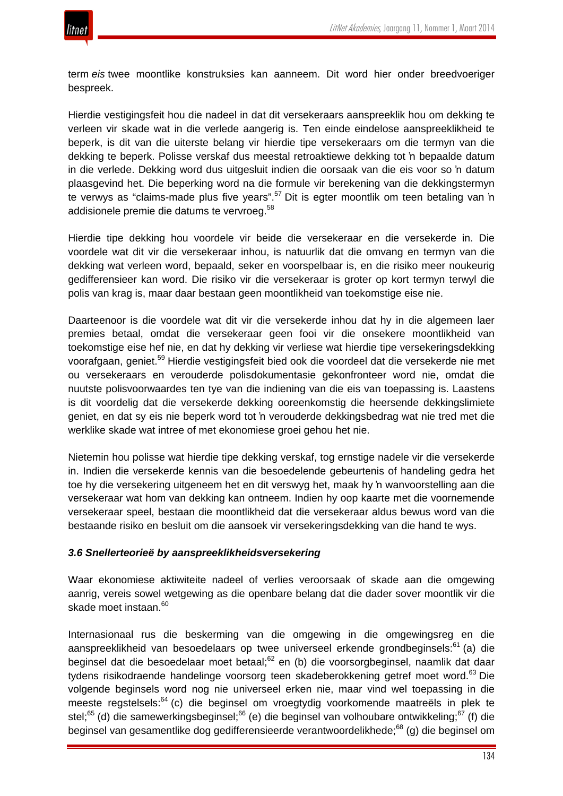

term *eis* twee moontlike konstruksies kan aanneem. Dit word hier onder breedvoeriger bespreek.

Hierdie vestigingsfeit hou die nadeel in dat dit versekeraars aanspreeklik hou om dekking te verleen vir skade wat in die verlede aangerig is. Ten einde eindelose aanspreeklikheid te beperk, is dit van die uiterste belang vir hierdie tipe versekeraars om die termyn van die dekking te beperk. Polisse verskaf dus meestal retroaktiewe dekking tot 'n bepaalde datum in die verlede. Dekking word dus uitgesluit indien die oorsaak van die eis voor so 'n datum plaasgevind het. Die beperking word na die formule vir berekening van die dekkingstermyn te verwys as "claims-made plus five years".<sup>57</sup> Dit is egter moontlik om teen betaling van 'n addisionele premie die datums te vervroeg.<sup>58</sup>

Hierdie tipe dekking hou voordele vir beide die versekeraar en die versekerde in. Die voordele wat dit vir die versekeraar inhou, is natuurlik dat die omvang en termyn van die dekking wat verleen word, bepaald, seker en voorspelbaar is, en die risiko meer noukeurig gedifferensieer kan word. Die risiko vir die versekeraar is groter op kort termyn terwyl die polis van krag is, maar daar bestaan geen moontlikheid van toekomstige eise nie.

Daarteenoor is die voordele wat dit vir die versekerde inhou dat hy in die algemeen laer premies betaal, omdat die versekeraar geen fooi vir die onsekere moontlikheid van toekomstige eise hef nie, en dat hy dekking vir verliese wat hierdie tipe versekeringsdekking voorafgaan, geniet.<sup>59</sup> Hierdie vestigingsfeit bied ook die voordeel dat die versekerde nie met ou versekeraars en verouderde polisdokumentasie gekonfronteer word nie, omdat die nuutste polisvoorwaardes ten tye van die indiening van die eis van toepassing is. Laastens is dit voordelig dat die versekerde dekking ooreenkomstig die heersende dekkingslimiete geniet, en dat sy eis nie beperk word tot 'n verouderde dekkingsbedrag wat nie tred met die werklike skade wat intree of met ekonomiese groei gehou het nie.

Nietemin hou polisse wat hierdie tipe dekking verskaf, tog ernstige nadele vir die versekerde in. Indien die versekerde kennis van die besoedelende gebeurtenis of handeling gedra het toe hy die versekering uitgeneem het en dit verswyg het, maak hy 'n wanvoorstelling aan die versekeraar wat hom van dekking kan ontneem. Indien hy oop kaarte met die voornemende versekeraar speel, bestaan die moontlikheid dat die versekeraar aldus bewus word van die bestaande risiko en besluit om die aansoek vir versekeringsdekking van die hand te wys.

## *3.6 Snellerteorieë by aanspreeklikheidsversekering*

Waar ekonomiese aktiwiteite nadeel of verlies veroorsaak of skade aan die omgewing aanrig, vereis sowel wetgewing as die openbare belang dat die dader sover moontlik vir die skade moet instaan.<sup>60</sup>

Internasionaal rus die beskerming van die omgewing in die omgewingsreg en die aanspreeklikheid van besoedelaars op twee universeel erkende grondbeginsels:<sup>61</sup> (a) die beginsel dat die besoedelaar moet betaal;<sup>62</sup> en (b) die voorsorgbeginsel, naamlik dat daar tydens risikodraende handelinge voorsorg teen skadeberokkening getref moet word.<sup>63</sup> Die volgende beginsels word nog nie universeel erken nie, maar vind wel toepassing in die meeste regstelsels:<sup>64</sup> (c) die beginsel om vroegtydig voorkomende maatreëls in plek te stel;<sup>65</sup> (d) die samewerkingsbeginsel;<sup>66</sup> (e) die beginsel van volhoubare ontwikkeling;<sup>67</sup> (f) die beginsel van gesamentlike dog gedifferensieerde verantwoordelikhede;<sup>68</sup> (g) die beginsel om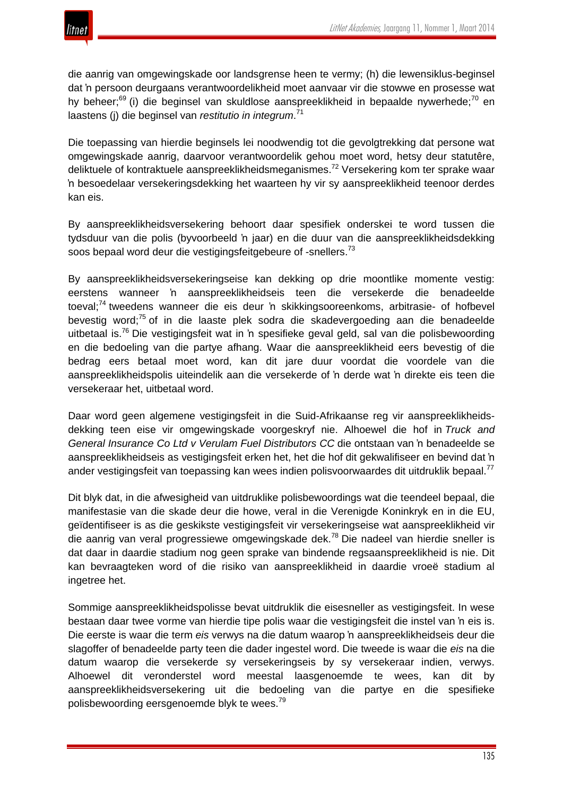

die aanrig van omgewingskade oor landsgrense heen te vermy; (h) die lewensiklus-beginsel dat 'n persoon deurgaans verantwoordelikheid moet aanvaar vir die stowwe en prosesse wat hy beheer;<sup>69</sup> (i) die beginsel van skuldlose aanspreeklikheid in bepaalde nywerhede;<sup>70</sup> en laastens (j) die beginsel van *restitutio in integrum*. 71

Die toepassing van hierdie beginsels lei noodwendig tot die gevolgtrekking dat persone wat omgewingskade aanrig, daarvoor verantwoordelik gehou moet word, hetsy deur statutêre, deliktuele of kontraktuele aanspreeklikheidsmeganismes.<sup>72</sup> Versekering kom ter sprake waar 'n besoedelaar versekeringsdekking het waarteen hy vir sy aanspreeklikheid teenoor derdes kan eis.

By aanspreeklikheidsversekering behoort daar spesifiek onderskei te word tussen die tydsduur van die polis (byvoorbeeld 'n jaar) en die duur van die aanspreeklikheidsdekking soos bepaal word deur die vestigingsfeitgebeure of -snellers.<sup>73</sup>

By aanspreeklikheidsversekeringseise kan dekking op drie moontlike momente vestig: eerstens wanneer 'n aanspreeklikheidseis teen die versekerde die benadeelde toeval;<sup>74</sup> tweedens wanneer die eis deur 'n skikkingsooreenkoms, arbitrasie- of hofbevel bevestig word;<sup>75</sup> of in die laaste plek sodra die skadevergoeding aan die benadeelde uitbetaal is.76 Die vestigingsfeit wat in 'n spesifieke geval geld, sal van die polisbewoording en die bedoeling van die partye afhang. Waar die aanspreeklikheid eers bevestig of die bedrag eers betaal moet word, kan dit jare duur voordat die voordele van die aanspreeklikheidspolis uiteindelik aan die versekerde of 'n derde wat 'n direkte eis teen die versekeraar het, uitbetaal word.

Daar word geen algemene vestigingsfeit in die Suid-Afrikaanse reg vir aanspreeklikheidsdekking teen eise vir omgewingskade voorgeskryf nie. Alhoewel die hof in *Truck and General Insurance Co Ltd v Verulam Fuel Distributors CC* die ontstaan van 'n benadeelde se aanspreeklikheidseis as vestigingsfeit erken het, het die hof dit gekwalifiseer en bevind dat 'n ander vestigingsfeit van toepassing kan wees indien polisvoorwaardes dit uitdruklik bepaal.<sup>77</sup>

Dit blyk dat, in die afwesigheid van uitdruklike polisbewoordings wat die teendeel bepaal, die manifestasie van die skade deur die howe, veral in die Verenigde Koninkryk en in die EU, geïdentifiseer is as die geskikste vestigingsfeit vir versekeringseise wat aanspreeklikheid vir die aanrig van veral progressiewe omgewingskade dek.<sup>78</sup> Die nadeel van hierdie sneller is dat daar in daardie stadium nog geen sprake van bindende regsaanspreeklikheid is nie. Dit kan bevraagteken word of die risiko van aanspreeklikheid in daardie vroeë stadium al ingetree het.

Sommige aanspreeklikheidspolisse bevat uitdruklik die eisesneller as vestigingsfeit. In wese bestaan daar twee vorme van hierdie tipe polis waar die vestigingsfeit die instel van 'n eis is. Die eerste is waar die term *eis* verwys na die datum waarop 'n aanspreeklikheidseis deur die slagoffer of benadeelde party teen die dader ingestel word. Die tweede is waar die *eis* na die datum waarop die versekerde sy versekeringseis by sy versekeraar indien, verwys. Alhoewel dit veronderstel word meestal laasgenoemde te wees, kan dit by aanspreeklikheidsversekering uit die bedoeling van die partye en die spesifieke polisbewoording eersgenoemde blyk te wees.<sup>79</sup>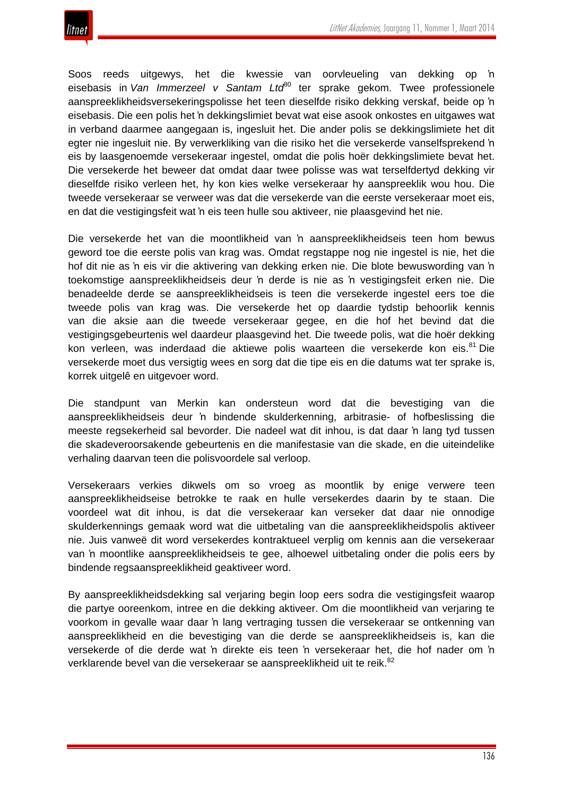

Soos reeds uitgewys, het die kwessie van oorvleueling van dekking op 'n eisebasis in *Van Immerzeel v Santam Ltd*<sup>80</sup> ter sprake gekom. Twee professionele aanspreeklikheidsversekeringspolisse het teen dieselfde risiko dekking verskaf, beide op 'n eisebasis. Die een polis het 'n dekkingslimiet bevat wat eise asook onkostes en uitgawes wat in verband daarmee aangegaan is, ingesluit het. Die ander polis se dekkingslimiete het dit egter nie ingesluit nie. By verwerkliking van die risiko het die versekerde vanselfsprekend 'n eis by laasgenoemde versekeraar ingestel, omdat die polis hoër dekkingslimiete bevat het. Die versekerde het beweer dat omdat daar twee polisse was wat terselfdertyd dekking vir dieselfde risiko verleen het, hy kon kies welke versekeraar hy aanspreeklik wou hou. Die tweede versekeraar se verweer was dat die versekerde van die eerste versekeraar moet eis, en dat die vestigingsfeit wat 'n eis teen hulle sou aktiveer, nie plaasgevind het nie.

Die versekerde het van die moontlikheid van 'n aanspreeklikheidseis teen hom bewus geword toe die eerste polis van krag was. Omdat regstappe nog nie ingestel is nie, het die hof dit nie as 'n eis vir die aktivering van dekking erken nie. Die blote bewuswording van 'n toekomstige aanspreeklikheidseis deur 'n derde is nie as 'n vestigingsfeit erken nie. Die benadeelde derde se aanspreeklikheidseis is teen die versekerde ingestel eers toe die tweede polis van krag was. Die versekerde het op daardie tydstip behoorlik kennis van die aksie aan die tweede versekeraar gegee, en die hof het bevind dat die vestigingsgebeurtenis wel daardeur plaasgevind het. Die tweede polis, wat die hoër dekking kon verleen, was inderdaad die aktiewe polis waarteen die versekerde kon eis.<sup>81</sup> Die versekerde moet dus versigtig wees en sorg dat die tipe eis en die datums wat ter sprake is, korrek uitgelê en uitgevoer word.

Die standpunt van Merkin kan ondersteun word dat die bevestiging van die aanspreeklikheidseis deur 'n bindende skulderkenning, arbitrasie- of hofbeslissing die meeste regsekerheid sal bevorder. Die nadeel wat dit inhou, is dat daar 'n lang tyd tussen die skadeveroorsakende gebeurtenis en die manifestasie van die skade, en die uiteindelike verhaling daarvan teen die polisvoordele sal verloop.

Versekeraars verkies dikwels om so vroeg as moontlik by enige verwere teen aanspreeklikheidseise betrokke te raak en hulle versekerdes daarin by te staan. Die voordeel wat dit inhou, is dat die versekeraar kan verseker dat daar nie onnodige skulderkennings gemaak word wat die uitbetaling van die aanspreeklikheidspolis aktiveer nie. Juis vanweë dit word versekerdes kontraktueel verplig om kennis aan die versekeraar van 'n moontlike aanspreeklikheidseis te gee, alhoewel uitbetaling onder die polis eers by bindende regsaanspreeklikheid geaktiveer word.

By aanspreeklikheidsdekking sal verjaring begin loop eers sodra die vestigingsfeit waarop die partye ooreenkom, intree en die dekking aktiveer. Om die moontlikheid van verjaring te voorkom in gevalle waar daar 'n lang vertraging tussen die versekeraar se ontkenning van aanspreeklikheid en die bevestiging van die derde se aanspreeklikheidseis is, kan die versekerde of die derde wat 'n direkte eis teen 'n versekeraar het, die hof nader om 'n verklarende bevel van die versekeraar se aanspreeklikheid uit te reik.<sup>82</sup>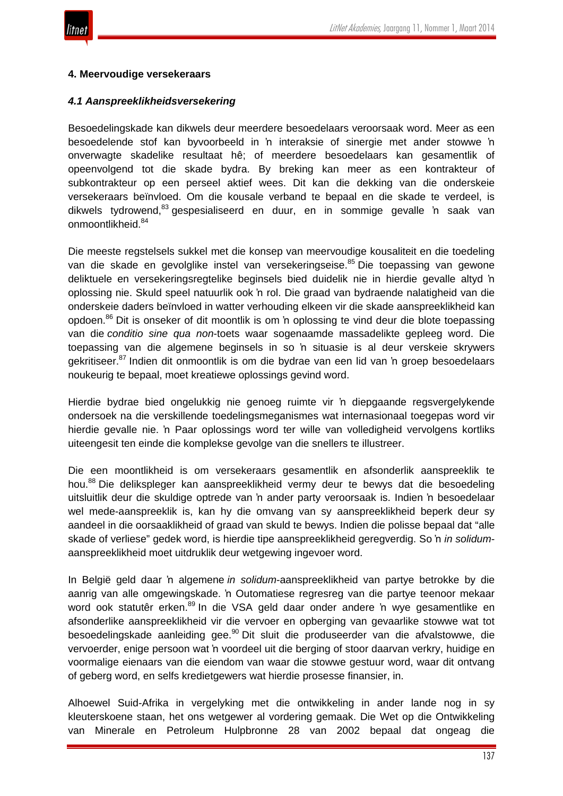

#### **4. Meervoudige versekeraars**

#### *4.1 Aanspreeklikheidsversekering*

Besoedelingskade kan dikwels deur meerdere besoedelaars veroorsaak word. Meer as een besoedelende stof kan byvoorbeeld in 'n interaksie of sinergie met ander stowwe 'n onverwagte skadelike resultaat hê; of meerdere besoedelaars kan gesamentlik of opeenvolgend tot die skade bydra. By breking kan meer as een kontrakteur of subkontrakteur op een perseel aktief wees. Dit kan die dekking van die onderskeie versekeraars beïnvloed. Om die kousale verband te bepaal en die skade te verdeel, is dikwels tydrowend,<sup>83</sup> gespesialiseerd en duur, en in sommige gevalle 'n saak van onmoontlikheid.<sup>84</sup>

Die meeste regstelsels sukkel met die konsep van meervoudige kousaliteit en die toedeling van die skade en gevolglike instel van versekeringseise.<sup>85</sup> Die toepassing van gewone deliktuele en versekeringsregtelike beginsels bied duidelik nie in hierdie gevalle altyd 'n oplossing nie. Skuld speel natuurlik ook 'n rol. Die graad van bydraende nalatigheid van die onderskeie daders beïnvloed in watter verhouding elkeen vir die skade aanspreeklikheid kan opdoen.<sup>86</sup> Dit is onseker of dit moontlik is om 'n oplossing te vind deur die blote toepassing van die *conditio sine qua non*-toets waar sogenaamde massadelikte gepleeg word. Die toepassing van die algemene beginsels in so 'n situasie is al deur verskeie skrywers gekritiseer.<sup>87</sup> Indien dit onmoontlik is om die bydrae van een lid van 'n groep besoedelaars noukeurig te bepaal, moet kreatiewe oplossings gevind word.

Hierdie bydrae bied ongelukkig nie genoeg ruimte vir 'n diepgaande regsvergelykende ondersoek na die verskillende toedelingsmeganismes wat internasionaal toegepas word vir hierdie gevalle nie. 'n Paar oplossings word ter wille van volledigheid vervolgens kortliks uiteengesit ten einde die komplekse gevolge van die snellers te illustreer.

Die een moontlikheid is om versekeraars gesamentlik en afsonderlik aanspreeklik te hou.<sup>88</sup> Die delikspleger kan aanspreeklikheid vermy deur te bewys dat die besoedeling uitsluitlik deur die skuldige optrede van 'n ander party veroorsaak is. Indien 'n besoedelaar wel mede-aanspreeklik is, kan hy die omvang van sy aanspreeklikheid beperk deur sy aandeel in die oorsaaklikheid of graad van skuld te bewys. Indien die polisse bepaal dat "alle skade of verliese" gedek word, is hierdie tipe aanspreeklikheid geregverdig. So 'n *in solidum*aanspreeklikheid moet uitdruklik deur wetgewing ingevoer word.

In België geld daar 'n algemene *in solidum*-aanspreeklikheid van partye betrokke by die aanrig van alle omgewingskade. 'n Outomatiese regresreg van die partye teenoor mekaar word ook statutêr erken.<sup>89</sup> In die VSA geld daar onder andere 'n wye gesamentlike en afsonderlike aanspreeklikheid vir die vervoer en opberging van gevaarlike stowwe wat tot besoedelingskade aanleiding gee.<sup>90</sup> Dit sluit die produseerder van die afvalstowwe, die vervoerder, enige persoon wat 'n voordeel uit die berging of stoor daarvan verkry, huidige en voormalige eienaars van die eiendom van waar die stowwe gestuur word, waar dit ontvang of geberg word, en selfs kredietgewers wat hierdie prosesse finansier, in.

Alhoewel Suid-Afrika in vergelyking met die ontwikkeling in ander lande nog in sy kleuterskoene staan, het ons wetgewer al vordering gemaak. Die Wet op die Ontwikkeling van Minerale en Petroleum Hulpbronne 28 van 2002 bepaal dat ongeag die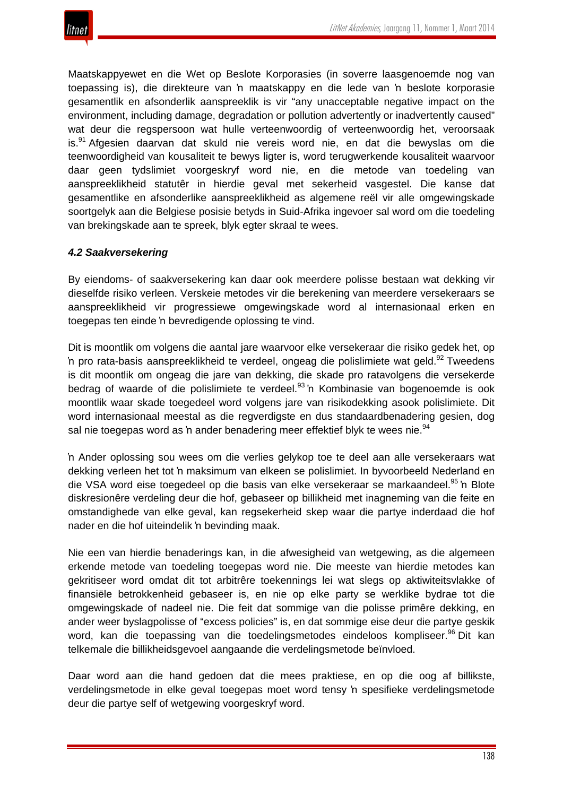

Maatskappyewet en die Wet op Beslote Korporasies (in soverre laasgenoemde nog van toepassing is), die direkteure van 'n maatskappy en die lede van 'n beslote korporasie gesamentlik en afsonderlik aanspreeklik is vir "any unacceptable negative impact on the environment, including damage, degradation or pollution advertently or inadvertently caused" wat deur die regspersoon wat hulle verteenwoordig of verteenwoordig het, veroorsaak is.<sup>91</sup> Afgesien daarvan dat skuld nie vereis word nie, en dat die bewyslas om die teenwoordigheid van kousaliteit te bewys ligter is, word terugwerkende kousaliteit waarvoor daar geen tydslimiet voorgeskryf word nie, en die metode van toedeling van aanspreeklikheid statutêr in hierdie geval met sekerheid vasgestel. Die kanse dat gesamentlike en afsonderlike aanspreeklikheid as algemene reël vir alle omgewingskade soortgelyk aan die Belgiese posisie betyds in Suid-Afrika ingevoer sal word om die toedeling van brekingskade aan te spreek, blyk egter skraal te wees.

## *4.2 Saakversekering*

By eiendoms- of saakversekering kan daar ook meerdere polisse bestaan wat dekking vir dieselfde risiko verleen. Verskeie metodes vir die berekening van meerdere versekeraars se aanspreeklikheid vir progressiewe omgewingskade word al internasionaal erken en toegepas ten einde 'n bevredigende oplossing te vind.

Dit is moontlik om volgens die aantal jare waarvoor elke versekeraar die risiko gedek het, op 'n pro rata-basis aanspreeklikheid te verdeel, ongeag die polislimiete wat geld.<sup>92</sup> Tweedens is dit moontlik om ongeag die jare van dekking, die skade pro ratavolgens die versekerde bedrag of waarde of die polislimiete te verdeel.<sup>93</sup> 'n Kombinasie van bogenoemde is ook moontlik waar skade toegedeel word volgens jare van risikodekking asook polislimiete. Dit word internasionaal meestal as die regverdigste en dus standaardbenadering gesien, dog sal nie toegepas word as 'n ander benadering meer effektief blyk te wees nie.<sup>94</sup>

'n Ander oplossing sou wees om die verlies gelykop toe te deel aan alle versekeraars wat dekking verleen het tot 'n maksimum van elkeen se polislimiet. In byvoorbeeld Nederland en die VSA word eise toegedeel op die basis van elke versekeraar se markaandeel.<sup>95</sup> 'n Blote diskresionêre verdeling deur die hof, gebaseer op billikheid met inagneming van die feite en omstandighede van elke geval, kan regsekerheid skep waar die partye inderdaad die hof nader en die hof uiteindelik 'n bevinding maak.

Nie een van hierdie benaderings kan, in die afwesigheid van wetgewing, as die algemeen erkende metode van toedeling toegepas word nie. Die meeste van hierdie metodes kan gekritiseer word omdat dit tot arbitrêre toekennings lei wat slegs op aktiwiteitsvlakke of finansiële betrokkenheid gebaseer is, en nie op elke party se werklike bydrae tot die omgewingskade of nadeel nie. Die feit dat sommige van die polisse primêre dekking, en ander weer byslagpolisse of "excess policies" is, en dat sommige eise deur die partye geskik word, kan die toepassing van die toedelingsmetodes eindeloos kompliseer.<sup>96</sup> Dit kan telkemale die billikheidsgevoel aangaande die verdelingsmetode beïnvloed.

Daar word aan die hand gedoen dat die mees praktiese, en op die oog af billikste, verdelingsmetode in elke geval toegepas moet word tensy 'n spesifieke verdelingsmetode deur die partye self of wetgewing voorgeskryf word.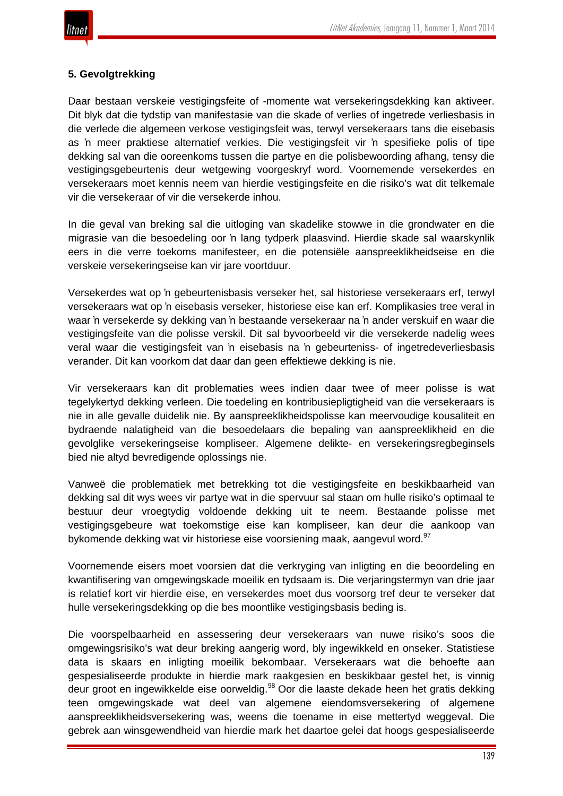

# **5. Gevolgtrekking**

Daar bestaan verskeie vestigingsfeite of -momente wat versekeringsdekking kan aktiveer. Dit blyk dat die tydstip van manifestasie van die skade of verlies of ingetrede verliesbasis in die verlede die algemeen verkose vestigingsfeit was, terwyl versekeraars tans die eisebasis as 'n meer praktiese alternatief verkies. Die vestigingsfeit vir 'n spesifieke polis of tipe dekking sal van die ooreenkoms tussen die partye en die polisbewoording afhang, tensy die vestigingsgebeurtenis deur wetgewing voorgeskryf word. Voornemende versekerdes en versekeraars moet kennis neem van hierdie vestigingsfeite en die risiko's wat dit telkemale vir die versekeraar of vir die versekerde inhou.

In die geval van breking sal die uitloging van skadelike stowwe in die grondwater en die migrasie van die besoedeling oor 'n lang tydperk plaasvind. Hierdie skade sal waarskynlik eers in die verre toekoms manifesteer, en die potensiële aanspreeklikheidseise en die verskeie versekeringseise kan vir jare voortduur.

Versekerdes wat op 'n gebeurtenisbasis verseker het, sal historiese versekeraars erf, terwyl versekeraars wat op 'n eisebasis verseker, historiese eise kan erf. Komplikasies tree veral in waar 'n versekerde sy dekking van 'n bestaande versekeraar na 'n ander verskuif en waar die vestigingsfeite van die polisse verskil. Dit sal byvoorbeeld vir die versekerde nadelig wees veral waar die vestigingsfeit van 'n eisebasis na 'n gebeurteniss- of ingetredeverliesbasis verander. Dit kan voorkom dat daar dan geen effektiewe dekking is nie.

Vir versekeraars kan dit problematies wees indien daar twee of meer polisse is wat tegelykertyd dekking verleen. Die toedeling en kontribusiepligtigheid van die versekeraars is nie in alle gevalle duidelik nie. By aanspreeklikheidspolisse kan meervoudige kousaliteit en bydraende nalatigheid van die besoedelaars die bepaling van aanspreeklikheid en die gevolglike versekeringseise kompliseer. Algemene delikte- en versekeringsregbeginsels bied nie altyd bevredigende oplossings nie.

Vanweë die problematiek met betrekking tot die vestigingsfeite en beskikbaarheid van dekking sal dit wys wees vir partye wat in die spervuur sal staan om hulle risiko's optimaal te bestuur deur vroegtydig voldoende dekking uit te neem. Bestaande polisse met vestigingsgebeure wat toekomstige eise kan kompliseer, kan deur die aankoop van bykomende dekking wat vir historiese eise voorsiening maak, aangevul word.<sup>97</sup>

Voornemende eisers moet voorsien dat die verkryging van inligting en die beoordeling en kwantifisering van omgewingskade moeilik en tydsaam is. Die verjaringstermyn van drie jaar is relatief kort vir hierdie eise, en versekerdes moet dus voorsorg tref deur te verseker dat hulle versekeringsdekking op die bes moontlike vestigingsbasis beding is.

Die voorspelbaarheid en assessering deur versekeraars van nuwe risiko's soos die omgewingsrisiko's wat deur breking aangerig word, bly ingewikkeld en onseker. Statistiese data is skaars en inligting moeilik bekombaar. Versekeraars wat die behoefte aan gespesialiseerde produkte in hierdie mark raakgesien en beskikbaar gestel het, is vinnig deur groot en ingewikkelde eise oorweldig.<sup>98</sup> Oor die laaste dekade heen het gratis dekking teen omgewingskade wat deel van algemene eiendomsversekering of algemene aanspreeklikheidsversekering was, weens die toename in eise mettertyd weggeval. Die gebrek aan winsgewendheid van hierdie mark het daartoe gelei dat hoogs gespesialiseerde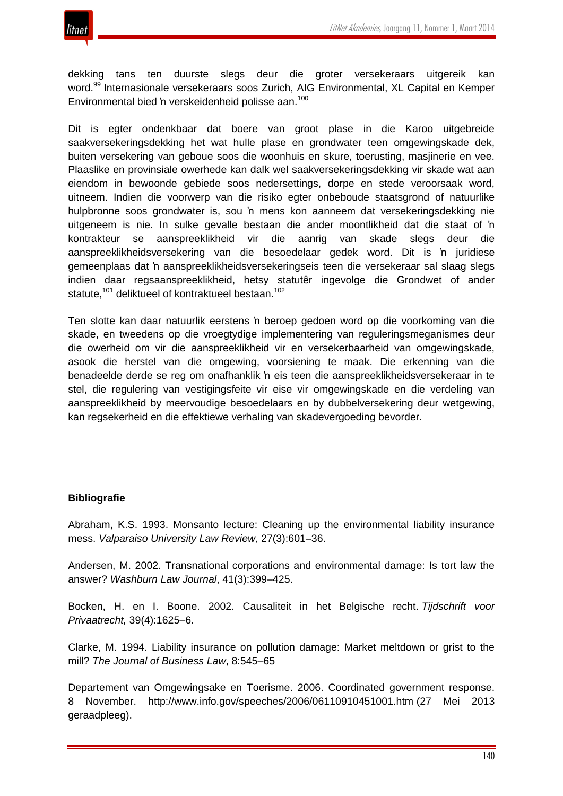

dekking tans ten duurste slegs deur die groter versekeraars uitgereik kan word.<sup>99</sup> Internasionale versekeraars soos Zurich, AIG Environmental, XL Capital en Kemper Environmental bied 'n verskeidenheid polisse aan.<sup>100</sup>

Dit is egter ondenkbaar dat boere van groot plase in die Karoo uitgebreide saakversekeringsdekking het wat hulle plase en grondwater teen omgewingskade dek, buiten versekering van geboue soos die woonhuis en skure, toerusting, masjinerie en vee. Plaaslike en provinsiale owerhede kan dalk wel saakversekeringsdekking vir skade wat aan eiendom in bewoonde gebiede soos nedersettings, dorpe en stede veroorsaak word, uitneem. Indien die voorwerp van die risiko egter onbeboude staatsgrond of natuurlike hulpbronne soos grondwater is, sou 'n mens kon aanneem dat versekeringsdekking nie uitgeneem is nie. In sulke gevalle bestaan die ander moontlikheid dat die staat of 'n kontrakteur se aanspreeklikheid vir die aanrig van skade slegs deur die aanspreeklikheidsversekering van die besoedelaar gedek word. Dit is 'n juridiese gemeenplaas dat 'n aanspreeklikheidsversekeringseis teen die versekeraar sal slaag slegs indien daar regsaanspreeklikheid, hetsy statutêr ingevolge die Grondwet of ander statute,<sup>101</sup> deliktueel of kontraktueel bestaan.<sup>102</sup>

Ten slotte kan daar natuurlik eerstens 'n beroep gedoen word op die voorkoming van die skade, en tweedens op die vroegtydige implementering van reguleringsmeganismes deur die owerheid om vir die aanspreeklikheid vir en versekerbaarheid van omgewingskade, asook die herstel van die omgewing, voorsiening te maak. Die erkenning van die benadeelde derde se reg om onafhanklik 'n eis teen die aanspreeklikheidsversekeraar in te stel, die regulering van vestigingsfeite vir eise vir omgewingskade en die verdeling van aanspreeklikheid by meervoudige besoedelaars en by dubbelversekering deur wetgewing, kan regsekerheid en die effektiewe verhaling van skadevergoeding bevorder.

## **Bibliografie**

Abraham, K.S. 1993. Monsanto lecture: Cleaning up the environmental liability insurance mess. *Valparaiso University Law Review*, 27(3):601–36.

Andersen, M. 2002. Transnational corporations and environmental damage: Is tort law the answer? *Washburn Law Journal*, 41(3):399–425.

Bocken, H. en I. Boone. 2002. Causaliteit in het Belgische recht. *Tijdschrift voor Privaatrecht,* 39(4):1625–6.

Clarke, M. 1994. Liability insurance on pollution damage: Market meltdown or grist to the mill? *The Journal of Business Law*, 8:545–65

Departement van Omgewingsake en Toerisme. 2006. Coordinated government response. 8 November. http://www.info.gov/speeches/2006/06110910451001.htm (27 Mei 2013 geraadpleeg).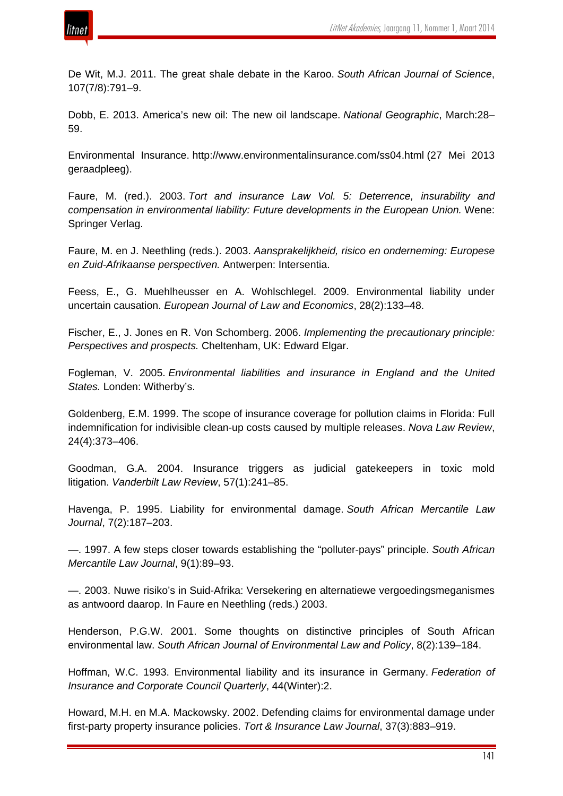

De Wit, M.J. 2011. The great shale debate in the Karoo. *South African Journal of Science*, 107(7/8):791–9.

Dobb, E. 2013. America's new oil: The new oil landscape. *National Geographic*, March:28– 59.

Environmental Insurance. http://www.environmentalinsurance.com/ss04.html (27 Mei 2013 geraadpleeg).

Faure, M. (red.). 2003. *Tort and insurance Law Vol. 5: Deterrence, insurability and compensation in environmental liability: Future developments in the European Union.* Wene: Springer Verlag.

Faure, M. en J. Neethling (reds.). 2003. *Aansprakelijkheid, risico en onderneming: Europese en Zuid-Afrikaanse perspectiven.* Antwerpen: Intersentia.

Feess, E., G. Muehlheusser en A. Wohlschlegel. 2009. Environmental liability under uncertain causation. *European Journal of Law and Economics*, 28(2):133–48.

Fischer, E., J. Jones en R. Von Schomberg. 2006. *Implementing the precautionary principle: Perspectives and prospects.* Cheltenham, UK: Edward Elgar.

Fogleman, V. 2005. *Environmental liabilities and insurance in England and the United States.* Londen: Witherby's.

Goldenberg, E.M. 1999. The scope of insurance coverage for pollution claims in Florida: Full indemnification for indivisible clean-up costs caused by multiple releases. *Nova Law Review*, 24(4):373–406.

Goodman, G.A. 2004. Insurance triggers as judicial gatekeepers in toxic mold litigation. *Vanderbilt Law Review*, 57(1):241–85.

Havenga, P. 1995. Liability for environmental damage. *South African Mercantile Law Journal*, 7(2):187–203.

—. 1997. A few steps closer towards establishing the "polluter-pays" principle. *South African Mercantile Law Journal*, 9(1):89–93.

—. 2003. Nuwe risiko's in Suid-Afrika: Versekering en alternatiewe vergoedingsmeganismes as antwoord daarop. In Faure en Neethling (reds.) 2003.

Henderson, P.G.W. 2001. Some thoughts on distinctive principles of South African environmental law. *South African Journal of Environmental Law and Policy*, 8(2):139–184.

Hoffman, W.C. 1993. Environmental liability and its insurance in Germany. *Federation of Insurance and Corporate Council Quarterly*, 44(Winter):2.

Howard, M.H. en M.A. Mackowsky. 2002. Defending claims for environmental damage under first-party property insurance policies. *Tort & Insurance Law Journal*, 37(3):883–919.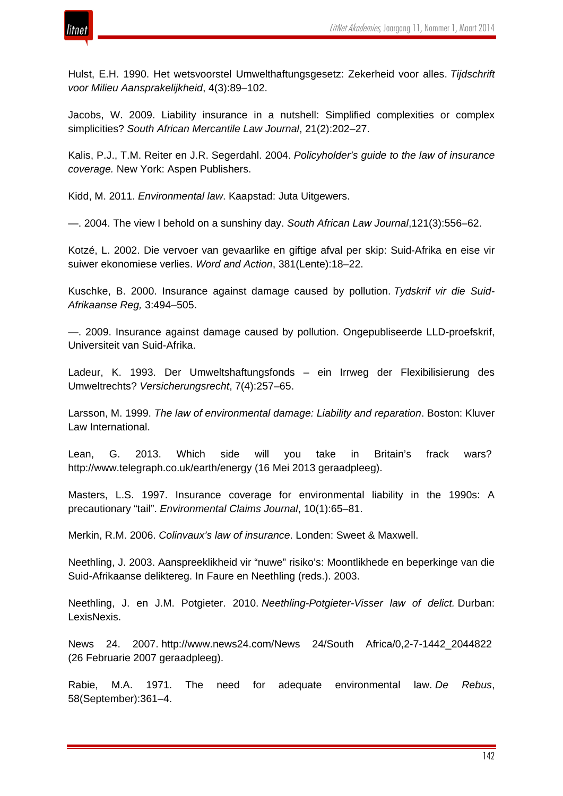

Hulst, E.H. 1990. Het wetsvoorstel Umwelthaftungsgesetz: Zekerheid voor alles. *Tijdschrift voor Milieu Aansprakelijkheid*, 4(3):89–102.

Jacobs, W. 2009. Liability insurance in a nutshell: Simplified complexities or complex simplicities? *South African Mercantile Law Journal*, 21(2):202–27.

Kalis, P.J., T.M. Reiter en J.R. Segerdahl. 2004. *Policyholder's guide to the law of insurance coverage.* New York: Aspen Publishers.

Kidd, M. 2011. *Environmental law*. Kaapstad: Juta Uitgewers.

—. 2004. The view I behold on a sunshiny day. *South African Law Journal*,121(3):556–62.

Kotzé, L. 2002. Die vervoer van gevaarlike en giftige afval per skip: Suid-Afrika en eise vir suiwer ekonomiese verlies. *Word and Action*, 381(Lente):18–22.

Kuschke, B. 2000. Insurance against damage caused by pollution. *Tydskrif vir die Suid-Afrikaanse Reg,* 3:494–505.

—. 2009. Insurance against damage caused by pollution. Ongepubliseerde LLD-proefskrif, Universiteit van Suid-Afrika.

Ladeur, K. 1993. Der Umweltshaftungsfonds – ein Irrweg der Flexibilisierung des Umweltrechts? *Versicherungsrecht*, 7(4):257–65.

Larsson, M. 1999. *The law of environmental damage: Liability and reparation*. Boston: Kluver Law International.

Lean, G. 2013. Which side will you take in Britain's frack wars? http://www.telegraph.co.uk/earth/energy (16 Mei 2013 geraadpleeg).

Masters, L.S. 1997. Insurance coverage for environmental liability in the 1990s: A precautionary "tail". *Environmental Claims Journal*, 10(1):65–81.

Merkin, R.M. 2006. *Colinvaux's law of insurance*. Londen: Sweet & Maxwell.

Neethling, J. 2003. Aanspreeklikheid vir "nuwe" risiko's: Moontlikhede en beperkinge van die Suid-Afrikaanse deliktereg. In Faure en Neethling (reds.). 2003.

Neethling, J. en J.M. Potgieter. 2010. *Neethling-Potgieter-Visser law of delict.* Durban: LexisNexis.

News 24. 2007. http://www.news24.com/News 24/South Africa/0,2-7-1442\_2044822 (26 Februarie 2007 geraadpleeg).

Rabie, M.A. 1971. The need for adequate environmental law. *De Rebus*, 58(September):361–4.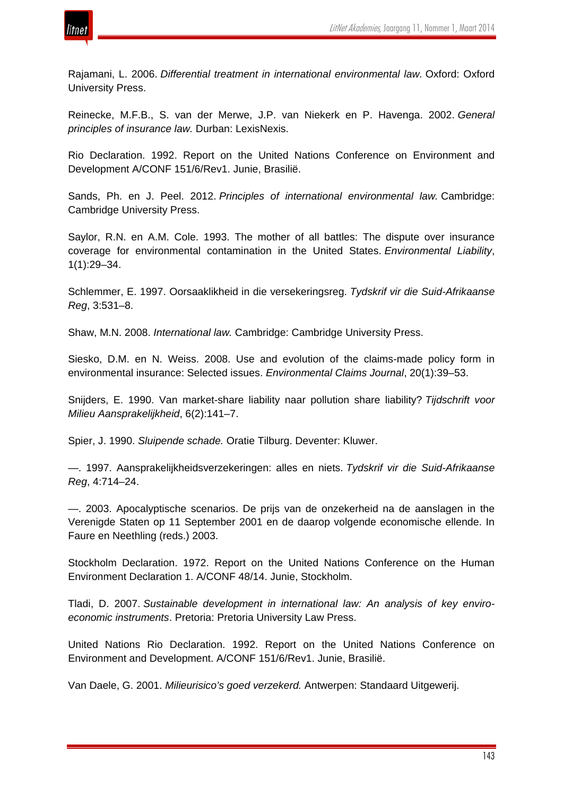

Rajamani, L. 2006. *Differential treatment in international environmental law.* Oxford: Oxford University Press.

Reinecke, M.F.B., S. van der Merwe, J.P. van Niekerk en P. Havenga. 2002. *General principles of insurance law.* Durban: LexisNexis.

Rio Declaration. 1992. Report on the United Nations Conference on Environment and Development A/CONF 151/6/Rev1. Junie, Brasilië.

Sands, Ph. en J. Peel. 2012. *Principles of international environmental law.* Cambridge: Cambridge University Press.

Saylor, R.N. en A.M. Cole. 1993. The mother of all battles: The dispute over insurance coverage for environmental contamination in the United States. *Environmental Liability*, 1(1):29–34.

Schlemmer, E. 1997. Oorsaaklikheid in die versekeringsreg. *Tydskrif vir die Suid-Afrikaanse Reg*, 3:531–8.

Shaw, M.N. 2008. *International law.* Cambridge: Cambridge University Press.

Siesko, D.M. en N. Weiss. 2008. Use and evolution of the claims-made policy form in environmental insurance: Selected issues. *Environmental Claims Journal*, 20(1):39–53.

Snijders, E. 1990. Van market-share liability naar pollution share liability? *Tijdschrift voor Milieu Aansprakelijkheid*, 6(2):141–7.

Spier, J. 1990. *Sluipende schade.* Oratie Tilburg. Deventer: Kluwer.

—. 1997. Aansprakelijkheidsverzekeringen: alles en niets. *Tydskrif vir die Suid-Afrikaanse Reg*, 4:714–24.

—. 2003. Apocalyptische scenarios. De prijs van de onzekerheid na de aanslagen in the Verenigde Staten op 11 September 2001 en de daarop volgende economische ellende. In Faure en Neethling (reds.) 2003.

Stockholm Declaration. 1972. Report on the United Nations Conference on the Human Environment Declaration 1. A/CONF 48/14. Junie, Stockholm.

Tladi, D. 2007. *Sustainable development in international law: An analysis of key enviroeconomic instruments*. Pretoria: Pretoria University Law Press.

United Nations Rio Declaration. 1992. Report on the United Nations Conference on Environment and Development. A/CONF 151/6/Rev1. Junie, Brasilië.

Van Daele, G. 2001. *Milieurisico's goed verzekerd.* Antwerpen: Standaard Uitgewerij.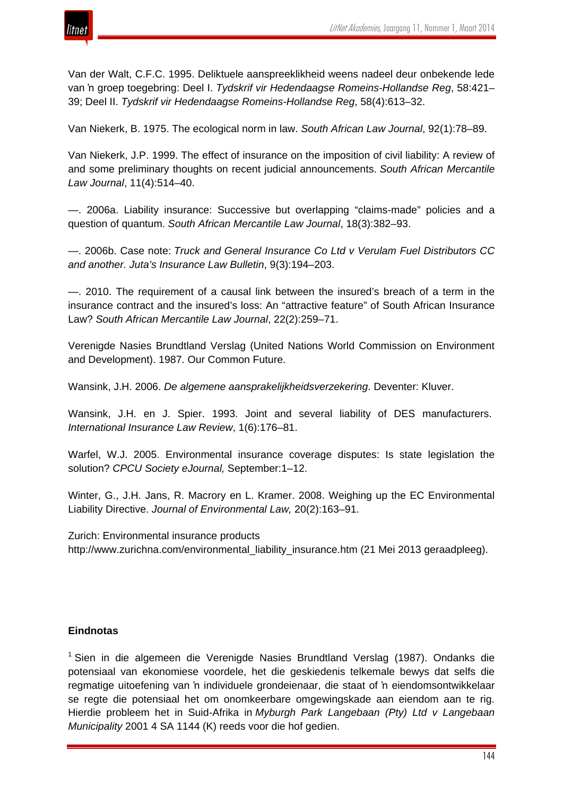Van der Walt, C.F.C. 1995. Deliktuele aanspreeklikheid weens nadeel deur onbekende lede van 'n groep toegebring: Deel I. *Tydskrif vir Hedendaagse Romeins-Hollandse Reg*, 58:421– 39; Deel II. *Tydskrif vir Hedendaagse Romeins-Hollandse Reg*, 58(4):613–32.

Van Niekerk, B. 1975. The ecological norm in law. *South African Law Journal*, 92(1):78–89.

Van Niekerk, J.P. 1999. The effect of insurance on the imposition of civil liability: A review of and some preliminary thoughts on recent judicial announcements. *South African Mercantile Law Journal*, 11(4):514–40.

—. 2006a. Liability insurance: Successive but overlapping "claims-made" policies and a question of quantum. *South African Mercantile Law Journal*, 18(3):382–93.

—. 2006b. Case note: *Truck and General Insurance Co Ltd v Verulam Fuel Distributors CC and another. Juta's Insurance Law Bulletin*, 9(3):194–203.

—. 2010. The requirement of a causal link between the insured's breach of a term in the insurance contract and the insured's loss: An "attractive feature" of South African Insurance Law? *South African Mercantile Law Journal*, 22(2):259–71.

Verenigde Nasies Brundtland Verslag (United Nations World Commission on Environment and Development). 1987. Our Common Future.

Wansink, J.H. 2006. *De algemene aansprakelijkheidsverzekering*. Deventer: Kluver.

Wansink, J.H. en J. Spier. 1993. Joint and several liability of DES manufacturers. *International Insurance Law Review*, 1(6):176–81.

Warfel, W.J. 2005. Environmental insurance coverage disputes: Is state legislation the solution? *CPCU Society eJournal,* September:1–12.

Winter, G., J.H. Jans, R. Macrory en L. Kramer. 2008. Weighing up the EC Environmental Liability Directive. *Journal of Environmental Law,* 20(2):163–91.

Zurich: Environmental insurance products http://www.zurichna.com/environmental\_liability\_insurance.htm (21 Mei 2013 geraadpleeg).

## **Eindnotas**

 $1$  Sien in die algemeen die Verenigde Nasies Brundtland Verslag (1987). Ondanks die potensiaal van ekonomiese voordele, het die geskiedenis telkemale bewys dat selfs die regmatige uitoefening van 'n individuele grondeienaar, die staat of 'n eiendomsontwikkelaar se regte die potensiaal het om onomkeerbare omgewingskade aan eiendom aan te rig. Hierdie probleem het in Suid-Afrika in *Myburgh Park Langebaan (Pty) Ltd v Langebaan Municipality* 2001 4 SA 1144 (K) reeds voor die hof gedien.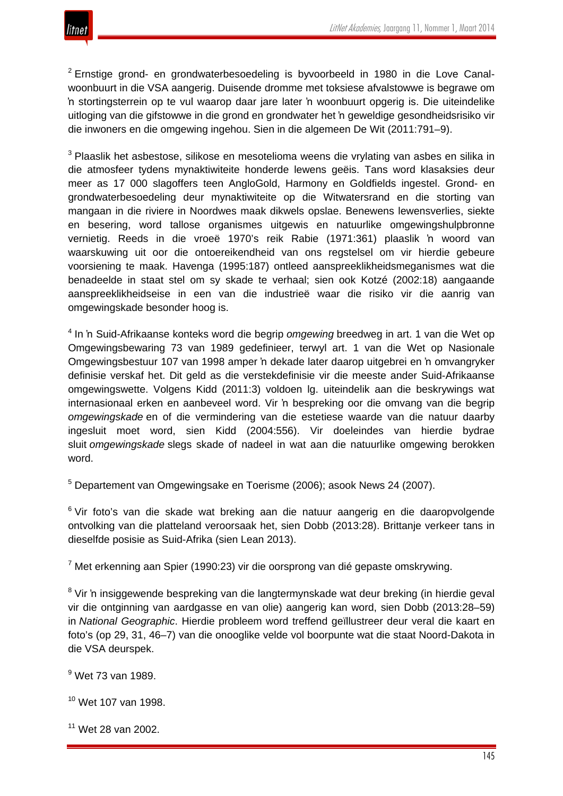

<sup>2</sup> Ernstige grond- en grondwaterbesoedeling is byvoorbeeld in 1980 in die Love Canalwoonbuurt in die VSA aangerig. Duisende dromme met toksiese afvalstowwe is begrawe om 'n stortingsterrein op te vul waarop daar jare later 'n woonbuurt opgerig is. Die uiteindelike uitloging van die gifstowwe in die grond en grondwater het 'n geweldige gesondheidsrisiko vir die inwoners en die omgewing ingehou. Sien in die algemeen De Wit (2011:791–9).

 $3$  Plaaslik het asbestose, silikose en mesotelioma weens die vrvlating van asbes en silika in die atmosfeer tydens mynaktiwiteite honderde lewens geëis. Tans word klasaksies deur meer as 17 000 slagoffers teen AngloGold, Harmony en Goldfields ingestel. Grond- en grondwaterbesoedeling deur mynaktiwiteite op die Witwatersrand en die storting van mangaan in die riviere in Noordwes maak dikwels opslae. Benewens lewensverlies, siekte en besering, word tallose organismes uitgewis en natuurlike omgewingshulpbronne vernietig. Reeds in die vroeë 1970's reik Rabie (1971:361) plaaslik 'n woord van waarskuwing uit oor die ontoereikendheid van ons regstelsel om vir hierdie gebeure voorsiening te maak. Havenga (1995:187) ontleed aanspreeklikheidsmeganismes wat die benadeelde in staat stel om sy skade te verhaal; sien ook Kotzé (2002:18) aangaande aanspreeklikheidseise in een van die industrieë waar die risiko vir die aanrig van omgewingskade besonder hoog is.

<sup>4</sup> In 'n Suid-Afrikaanse konteks word die begrip *omgewing* breedweg in art. 1 van die Wet op Omgewingsbewaring 73 van 1989 gedefinieer, terwyl art. 1 van die Wet op Nasionale Omgewingsbestuur 107 van 1998 amper 'n dekade later daarop uitgebrei en 'n omvangryker definisie verskaf het. Dit geld as die verstekdefinisie vir die meeste ander Suid-Afrikaanse omgewingswette. Volgens Kidd (2011:3) voldoen lg. uiteindelik aan die beskrywings wat internasionaal erken en aanbeveel word. Vir 'n bespreking oor die omvang van die begrip *omgewingskade* en of die vermindering van die estetiese waarde van die natuur daarby ingesluit moet word, sien Kidd (2004:556). Vir doeleindes van hierdie bydrae sluit *omgewingskade* slegs skade of nadeel in wat aan die natuurlike omgewing berokken word.

<sup>5</sup> Departement van Omgewingsake en Toerisme (2006); asook News 24 (2007).

<sup>6</sup> Vir foto's van die skade wat breking aan die natuur aangerig en die daaropvolgende ontvolking van die platteland veroorsaak het, sien Dobb (2013:28). Brittanje verkeer tans in dieselfde posisie as Suid-Afrika (sien Lean 2013).

 $7$  Met erkenning aan Spier (1990:23) vir die oorsprong van dié gepaste omskrywing.

<sup>8</sup> Vir 'n insiggewende bespreking van die langtermynskade wat deur breking (in hierdie geval vir die ontginning van aardgasse en van olie) aangerig kan word, sien Dobb (2013:28–59) in *National Geographic*. Hierdie probleem word treffend geïllustreer deur veral die kaart en foto's (op 29, 31, 46–7) van die onooglike velde vol boorpunte wat die staat Noord-Dakota in die VSA deurspek.

<sup>9</sup> Wet 73 van 1989.

<sup>10</sup> Wet 107 van 1998.

<sup>11</sup> Wet 28 van 2002.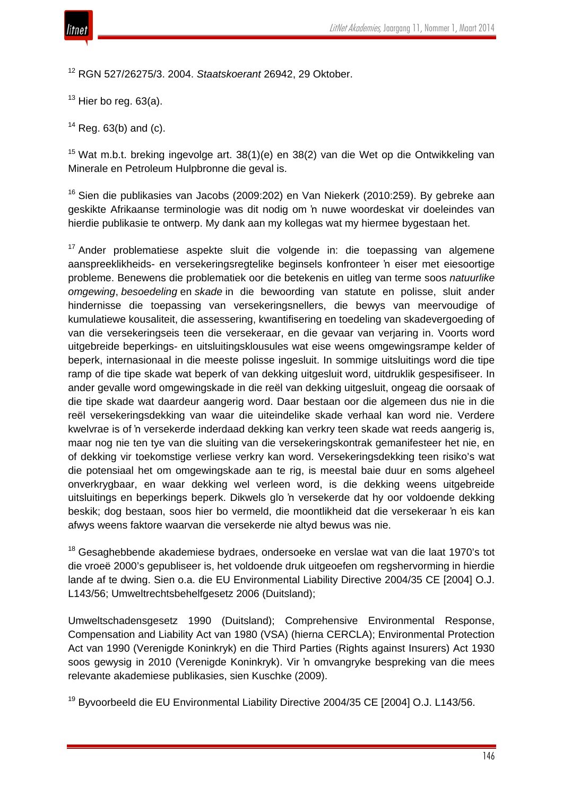

<sup>12</sup> RGN 527/26275/3. 2004. *Staatskoerant* 26942, 29 Oktober.

 $13$  Hier bo reg. 63(a).

 $14$  Reg. 63(b) and (c).

<sup>15</sup> Wat m.b.t. breking ingevolge art. 38(1)(e) en 38(2) van die Wet op die Ontwikkeling van Minerale en Petroleum Hulpbronne die geval is.

<sup>16</sup> Sien die publikasies van Jacobs (2009:202) en Van Niekerk (2010:259). By gebreke aan geskikte Afrikaanse terminologie was dit nodig om 'n nuwe woordeskat vir doeleindes van hierdie publikasie te ontwerp. My dank aan my kollegas wat my hiermee bygestaan het.

 $17$  Ander problematiese aspekte sluit die volgende in: die toepassing van algemene aanspreeklikheids- en versekeringsregtelike beginsels konfronteer 'n eiser met eiesoortige probleme. Benewens die problematiek oor die betekenis en uitleg van terme soos *natuurlike omgewing*, *besoedeling* en *skade* in die bewoording van statute en polisse, sluit ander hindernisse die toepassing van versekeringsnellers, die bewys van meervoudige of kumulatiewe kousaliteit, die assessering, kwantifisering en toedeling van skadevergoeding of van die versekeringseis teen die versekeraar, en die gevaar van verjaring in. Voorts word uitgebreide beperkings- en uitsluitingsklousules wat eise weens omgewingsrampe kelder of beperk, internasionaal in die meeste polisse ingesluit. In sommige uitsluitings word die tipe ramp of die tipe skade wat beperk of van dekking uitgesluit word, uitdruklik gespesifiseer. In ander gevalle word omgewingskade in die reël van dekking uitgesluit, ongeag die oorsaak of die tipe skade wat daardeur aangerig word. Daar bestaan oor die algemeen dus nie in die reël versekeringsdekking van waar die uiteindelike skade verhaal kan word nie. Verdere kwelvrae is of 'n versekerde inderdaad dekking kan verkry teen skade wat reeds aangerig is, maar nog nie ten tye van die sluiting van die versekeringskontrak gemanifesteer het nie, en of dekking vir toekomstige verliese verkry kan word. Versekeringsdekking teen risiko's wat die potensiaal het om omgewingskade aan te rig, is meestal baie duur en soms algeheel onverkrygbaar, en waar dekking wel verleen word, is die dekking weens uitgebreide uitsluitings en beperkings beperk. Dikwels glo 'n versekerde dat hy oor voldoende dekking beskik; dog bestaan, soos hier bo vermeld, die moontlikheid dat die versekeraar 'n eis kan afwys weens faktore waarvan die versekerde nie altyd bewus was nie.

<sup>18</sup> Gesaghebbende akademiese bydraes, ondersoeke en verslae wat van die laat 1970's tot die vroeë 2000's gepubliseer is, het voldoende druk uitgeoefen om regshervorming in hierdie lande af te dwing. Sien o.a. die EU Environmental Liability Directive 2004/35 CE [2004] O.J. L143/56; Umweltrechtsbehelfgesetz 2006 (Duitsland);

Umweltschadensgesetz 1990 (Duitsland); Comprehensive Environmental Response, Compensation and Liability Act van 1980 (VSA) (hierna CERCLA); Environmental Protection Act van 1990 (Verenigde Koninkryk) en die Third Parties (Rights against Insurers) Act 1930 soos gewysig in 2010 (Verenigde Koninkryk). Vir 'n omvangryke bespreking van die mees relevante akademiese publikasies, sien Kuschke (2009).

<sup>19</sup> Byvoorbeeld die EU Environmental Liability Directive 2004/35 CE [2004] O.J. L143/56.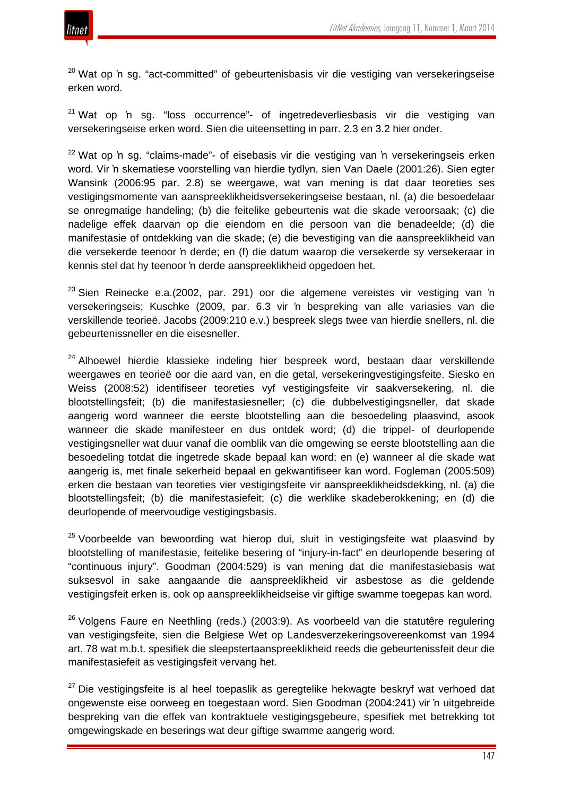

<sup>20</sup> Wat op 'n sg. "act-committed" of gebeurtenisbasis vir die vestiging van versekeringseise erken word.

<sup>21</sup> Wat op 'n sg. "loss occurrence"- of ingetredeverliesbasis vir die vestiging van versekeringseise erken word. Sien die uiteensetting in parr. 2.3 en 3.2 hier onder.

<sup>22</sup> Wat op 'n sg. "claims-made"- of eisebasis vir die vestiging van 'n versekeringseis erken word. Vir 'n skematiese voorstelling van hierdie tydlyn, sien Van Daele (2001:26). Sien egter Wansink (2006:95 par. 2.8) se weergawe, wat van mening is dat daar teoreties ses vestigingsmomente van aanspreeklikheidsversekeringseise bestaan, nl. (a) die besoedelaar se onregmatige handeling; (b) die feitelike gebeurtenis wat die skade veroorsaak; (c) die nadelige effek daarvan op die eiendom en die persoon van die benadeelde; (d) die manifestasie of ontdekking van die skade; (e) die bevestiging van die aanspreeklikheid van die versekerde teenoor 'n derde; en (f) die datum waarop die versekerde sy versekeraar in kennis stel dat hy teenoor 'n derde aanspreeklikheid opgedoen het.

 $23$  Sien Reinecke e.a.(2002, par. 291) oor die algemene vereistes vir vestiging van 'n versekeringseis; Kuschke (2009, par. 6.3 vir 'n bespreking van alle variasies van die verskillende teorieë. Jacobs (2009:210 e.v.) bespreek slegs twee van hierdie snellers, nl. die gebeurtenissneller en die eisesneller.

<sup>24</sup> Alhoewel hierdie klassieke indeling hier bespreek word, bestaan daar verskillende weergawes en teorieë oor die aard van, en die getal, versekeringvestigingsfeite. Siesko en Weiss (2008:52) identifiseer teoreties vyf vestigingsfeite vir saakversekering, nl. die blootstellingsfeit; (b) die manifestasiesneller; (c) die dubbelvestigingsneller, dat skade aangerig word wanneer die eerste blootstelling aan die besoedeling plaasvind, asook wanneer die skade manifesteer en dus ontdek word; (d) die trippel- of deurlopende vestigingsneller wat duur vanaf die oomblik van die omgewing se eerste blootstelling aan die besoedeling totdat die ingetrede skade bepaal kan word; en (e) wanneer al die skade wat aangerig is, met finale sekerheid bepaal en gekwantifiseer kan word. Fogleman (2005:509) erken die bestaan van teoreties vier vestigingsfeite vir aanspreeklikheidsdekking, nl. (a) die blootstellingsfeit; (b) die manifestasiefeit; (c) die werklike skadeberokkening; en (d) die deurlopende of meervoudige vestigingsbasis.

 $25$  Voorbeelde van bewoording wat hierop dui, sluit in vestigingsfeite wat plaasvind by blootstelling of manifestasie, feitelike besering of "injury-in-fact" en deurlopende besering of "continuous injury". Goodman (2004:529) is van mening dat die manifestasiebasis wat suksesvol in sake aangaande die aanspreeklikheid vir asbestose as die geldende vestigingsfeit erken is, ook op aanspreeklikheidseise vir giftige swamme toegepas kan word.

<sup>26</sup> Volgens Faure en Neethling (reds.) (2003:9). As voorbeeld van die statutêre regulering van vestigingsfeite, sien die Belgiese Wet op Landesverzekeringsovereenkomst van 1994 art. 78 wat m.b.t. spesifiek die sleepstertaanspreeklikheid reeds die gebeurtenissfeit deur die manifestasiefeit as vestigingsfeit vervang het.

 $27$  Die vestigingsfeite is al heel toepaslik as geregtelike hekwagte beskryf wat verhoed dat ongewenste eise oorweeg en toegestaan word. Sien Goodman (2004:241) vir 'n uitgebreide bespreking van die effek van kontraktuele vestigingsgebeure, spesifiek met betrekking tot omgewingskade en beserings wat deur giftige swamme aangerig word.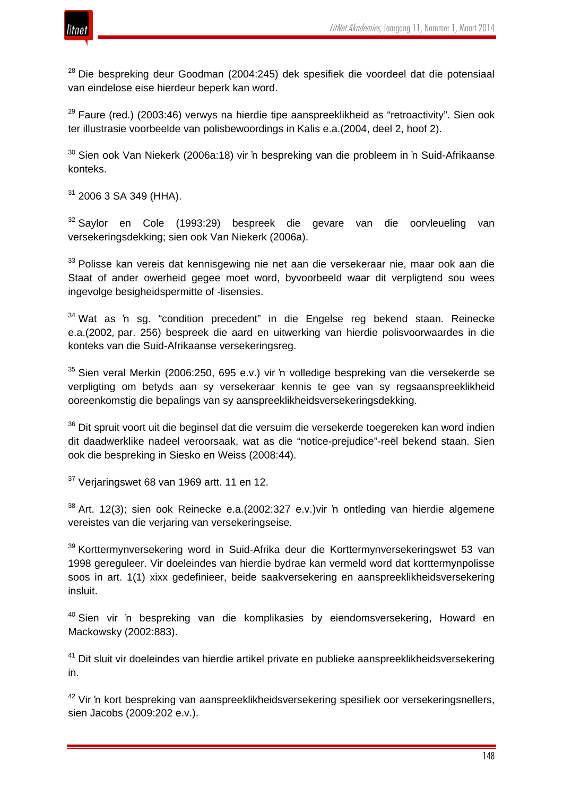

<sup>28</sup> Die bespreking deur Goodman (2004:245) dek spesifiek die voordeel dat die potensiaal van eindelose eise hierdeur beperk kan word.

 $29$  Faure (red.) (2003:46) verwys na hierdie tipe aanspreeklikheid as "retroactivity". Sien ook ter illustrasie voorbeelde van polisbewoordings in Kalis e.a.(2004, deel 2, hoof 2).

 $30$  Sien ook Van Niekerk (2006a:18) vir 'n bespreking van die probleem in 'n Suid-Afrikaanse konteks.

<sup>31</sup> 2006 3 SA 349 (HHA).

<sup>32</sup> Saylor en Cole (1993:29) bespreek die gevare van die oorvleueling van versekeringsdekking; sien ook Van Niekerk (2006a).

<sup>33</sup> Polisse kan vereis dat kennisgewing nie net aan die versekeraar nie, maar ook aan die Staat of ander owerheid gegee moet word, byvoorbeeld waar dit verpligtend sou wees ingevolge besigheidspermitte of -lisensies.

<sup>34</sup> Wat as 'n sg. "condition precedent" in die Engelse reg bekend staan. Reinecke e.a.(2002*,* par. 256) bespreek die aard en uitwerking van hierdie polisvoorwaardes in die konteks van die Suid-Afrikaanse versekeringsreg.

<sup>35</sup> Sien veral Merkin (2006:250, 695 e.v.) vir 'n volledige bespreking van die versekerde se verpligting om betyds aan sy versekeraar kennis te gee van sy regsaanspreeklikheid ooreenkomstig die bepalings van sy aanspreeklikheidsversekeringsdekking.

<sup>36</sup> Dit spruit voort uit die beginsel dat die versuim die versekerde toegereken kan word indien dit daadwerklike nadeel veroorsaak, wat as die "notice-prejudice"-reël bekend staan. Sien ook die bespreking in Siesko en Weiss (2008:44).

 $37$  Verjaringswet 68 van 1969 artt. 11 en 12.

 $38$  Art. 12(3); sien ook Reinecke e.a.(2002:327 e.v.) vir 'n ontleding van hierdie algemene vereistes van die verjaring van versekeringseise.

<sup>39</sup> Korttermynversekering word in Suid-Afrika deur die Korttermynversekeringswet 53 van 1998 gereguleer. Vir doeleindes van hierdie bydrae kan vermeld word dat korttermynpolisse soos in art. 1(1) xixx gedefinieer, beide saakversekering en aanspreeklikheidsversekering insluit.

<sup>40</sup> Sien vir 'n bespreking van die komplikasies by eiendomsversekering, Howard en Mackowsky (2002:883).

<sup>41</sup> Dit sluit vir doeleindes van hierdie artikel private en publieke aanspreeklikheidsversekering in.

<sup>42</sup> Vir 'n kort bespreking van aanspreeklikheidsversekering spesifiek oor versekeringsnellers, sien Jacobs (2009:202 e.v.).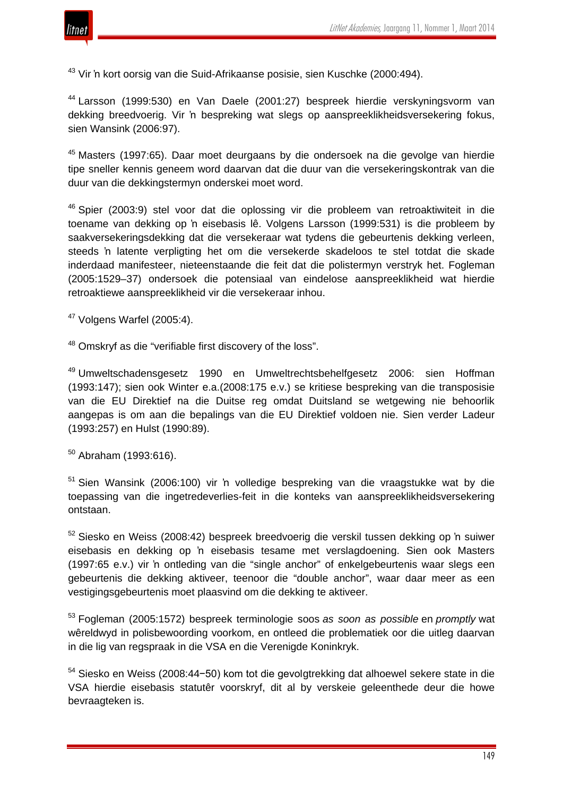

<sup>43</sup> Vir 'n kort oorsig van die Suid-Afrikaanse posisie, sien Kuschke (2000:494).

<sup>44</sup> Larsson (1999:530) en Van Daele (2001:27) bespreek hierdie verskyningsvorm van dekking breedvoerig. Vir 'n bespreking wat slegs op aanspreeklikheidsversekering fokus, sien Wansink (2006:97).

<sup>45</sup> Masters (1997:65). Daar moet deurgaans by die ondersoek na die gevolge van hierdie tipe sneller kennis geneem word daarvan dat die duur van die versekeringskontrak van die duur van die dekkingstermyn onderskei moet word.

<sup>46</sup> Spier (2003:9) stel voor dat die oplossing vir die probleem van retroaktiwiteit in die toename van dekking op 'n eisebasis lê. Volgens Larsson (1999:531) is die probleem by saakversekeringsdekking dat die versekeraar wat tydens die gebeurtenis dekking verleen, steeds 'n latente verpligting het om die versekerde skadeloos te stel totdat die skade inderdaad manifesteer, nieteenstaande die feit dat die polistermyn verstryk het. Fogleman (2005:1529–37) ondersoek die potensiaal van eindelose aanspreeklikheid wat hierdie retroaktiewe aanspreeklikheid vir die versekeraar inhou.

<sup>47</sup> Volgens Warfel (2005:4).

<sup>48</sup> Omskryf as die "verifiable first discovery of the loss".

<sup>49</sup> Umweltschadensgesetz 1990 en Umweltrechtsbehelfgesetz 2006: sien Hoffman (1993:147); sien ook Winter e.a.(2008:175 e.v.) se kritiese bespreking van die transposisie van die EU Direktief na die Duitse reg omdat Duitsland se wetgewing nie behoorlik aangepas is om aan die bepalings van die EU Direktief voldoen nie. Sien verder Ladeur (1993:257) en Hulst (1990:89).

 $50$  Abraham (1993:616).

<sup>51</sup> Sien Wansink (2006:100) vir 'n volledige bespreking van die vraagstukke wat by die toepassing van die ingetredeverlies-feit in die konteks van aanspreeklikheidsversekering ontstaan.

<sup>52</sup> Siesko en Weiss (2008:42) bespreek breedvoerig die verskil tussen dekking op 'n suiwer eisebasis en dekking op 'n eisebasis tesame met verslagdoening. Sien ook Masters (1997:65 e.v.) vir 'n ontleding van die "single anchor" of enkelgebeurtenis waar slegs een gebeurtenis die dekking aktiveer, teenoor die "double anchor", waar daar meer as een vestigingsgebeurtenis moet plaasvind om die dekking te aktiveer.

<sup>53</sup> Fogleman (2005:1572) bespreek terminologie soos *as soon as possible* en *promptly* wat wêreldwyd in polisbewoording voorkom, en ontleed die problematiek oor die uitleg daarvan in die lig van regspraak in die VSA en die Verenigde Koninkryk.

<sup>54</sup> Siesko en Weiss (2008:44−50) kom tot die gevolgtrekking dat alhoewel sekere state in die VSA hierdie eisebasis statutêr voorskryf, dit al by verskeie geleenthede deur die howe bevraagteken is.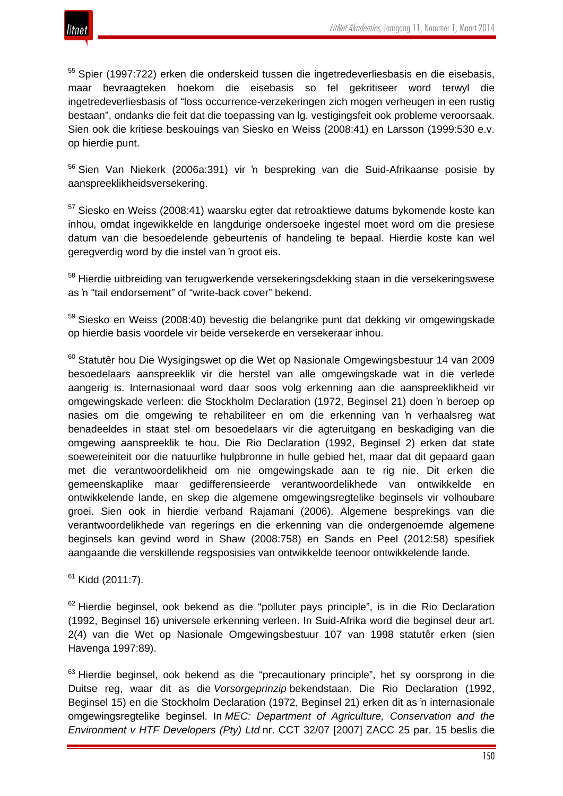

<sup>55</sup> Spier (1997:722) erken die onderskeid tussen die ingetredeverliesbasis en die eisebasis, maar bevraagteken hoekom die eisebasis so fel gekritiseer word terwyl die ingetredeverliesbasis of "loss occurrence-verzekeringen zich mogen verheugen in een rustig bestaan", ondanks die feit dat die toepassing van lg. vestigingsfeit ook probleme veroorsaak. Sien ook die kritiese beskouings van Siesko en Weiss (2008:41) en Larsson (1999:530 e.v. op hierdie punt.

<sup>56</sup> Sien Van Niekerk (2006a:391) vir 'n bespreking van die Suid-Afrikaanse posisie by aanspreeklikheidsversekering.

<sup>57</sup> Siesko en Weiss (2008:41) waarsku egter dat retroaktiewe datums bykomende koste kan inhou, omdat ingewikkelde en langdurige ondersoeke ingestel moet word om die presiese datum van die besoedelende gebeurtenis of handeling te bepaal. Hierdie koste kan wel geregverdig word by die instel van 'n groot eis.

<sup>58</sup> Hierdie uitbreiding van terugwerkende versekeringsdekking staan in die versekeringswese as 'n "tail endorsement" of "write-back cover" bekend.

<sup>59</sup> Siesko en Weiss (2008:40) bevestig die belangrike punt dat dekking vir omgewingskade op hierdie basis voordele vir beide versekerde en versekeraar inhou.

<sup>60</sup> Statutêr hou Die Wysigingswet op die Wet op Nasionale Omgewingsbestuur 14 van 2009 besoedelaars aanspreeklik vir die herstel van alle omgewingskade wat in die verlede aangerig is. Internasionaal word daar soos volg erkenning aan die aanspreeklikheid vir omgewingskade verleen: die Stockholm Declaration (1972, Beginsel 21) doen 'n beroep op nasies om die omgewing te rehabiliteer en om die erkenning van 'n verhaalsreg wat benadeeldes in staat stel om besoedelaars vir die agteruitgang en beskadiging van die omgewing aanspreeklik te hou. Die Rio Declaration (1992, Beginsel 2) erken dat state soewereiniteit oor die natuurlike hulpbronne in hulle gebied het, maar dat dit gepaard gaan met die verantwoordelikheid om nie omgewingskade aan te rig nie. Dit erken die gemeenskaplike maar gedifferensieerde verantwoordelikhede van ontwikkelde en ontwikkelende lande, en skep die algemene omgewingsregtelike beginsels vir volhoubare groei. Sien ook in hierdie verband Rajamani (2006). Algemene besprekings van die verantwoordelikhede van regerings en die erkenning van die ondergenoemde algemene beginsels kan gevind word in Shaw (2008:758) en Sands en Peel (2012:58) spesifiek aangaande die verskillende regsposisies van ontwikkelde teenoor ontwikkelende lande.

 $61$  Kidd (2011:7).

 $62$  Hierdie beginsel, ook bekend as die "polluter pays principle", is in die Rio Declaration (1992, Beginsel 16) universele erkenning verleen. In Suid-Afrika word die beginsel deur art. 2(4) van die Wet op Nasionale Omgewingsbestuur 107 van 1998 statutêr erken (sien Havenga 1997:89).

 $63$  Hierdie beginsel, ook bekend as die "precautionary principle", het sy oorsprong in die Duitse reg, waar dit as die *Vorsorgeprinzip* bekendstaan. Die Rio Declaration (1992, Beginsel 15) en die Stockholm Declaration (1972, Beginsel 21) erken dit as 'n internasionale omgewingsregtelike beginsel. In *MEC: Department of Agriculture, Conservation and the Environment v HTF Developers (Pty) Ltd* nr. CCT 32/07 [2007] ZACC 25 par. 15 beslis die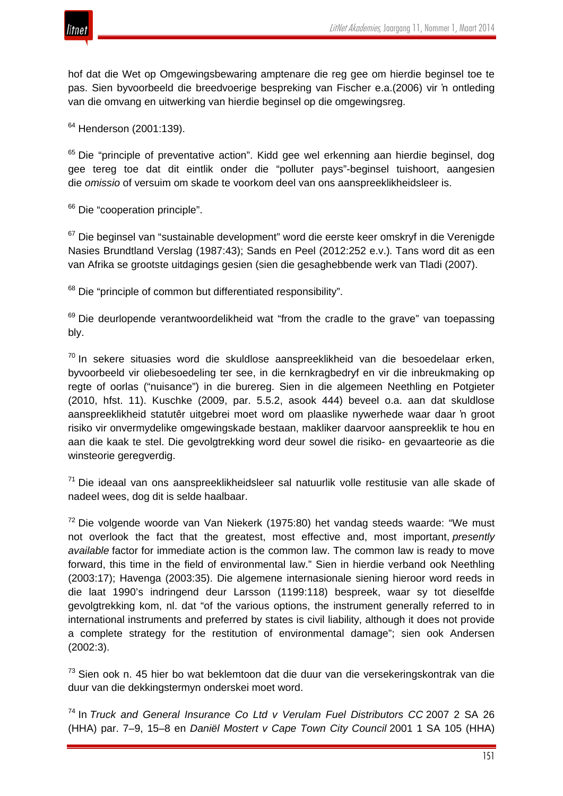

hof dat die Wet op Omgewingsbewaring amptenare die reg gee om hierdie beginsel toe te pas. Sien byvoorbeeld die breedvoerige bespreking van Fischer e.a.(2006) vir 'n ontleding van die omvang en uitwerking van hierdie beginsel op die omgewingsreg.

<sup>64</sup> Henderson (2001:139).

<sup>65</sup> Die "principle of preventative action". Kidd gee wel erkenning aan hierdie beginsel, dog gee tereg toe dat dit eintlik onder die "polluter pays"-beginsel tuishoort, aangesien die *omissio* of versuim om skade te voorkom deel van ons aanspreeklikheidsleer is.

<sup>66</sup> Die "cooperation principle".

<sup>67</sup> Die beginsel van "sustainable development" word die eerste keer omskryf in die Verenigde Nasies Brundtland Verslag (1987:43); Sands en Peel (2012:252 e.v.)*.* Tans word dit as een van Afrika se grootste uitdagings gesien (sien die gesaghebbende werk van Tladi (2007).

<sup>68</sup> Die "principle of common but differentiated responsibility".

<sup>69</sup> Die deurlopende verantwoordelikheid wat "from the cradle to the grave" van toepassing bly.

 $70$  In sekere situasies word die skuldlose aanspreeklikheid van die besoedelaar erken, byvoorbeeld vir oliebesoedeling ter see, in die kernkragbedryf en vir die inbreukmaking op regte of oorlas ("nuisance") in die burereg. Sien in die algemeen Neethling en Potgieter (2010, hfst. 11). Kuschke (2009, par. 5.5.2, asook 444) beveel o.a. aan dat skuldlose aanspreeklikheid statutêr uitgebrei moet word om plaaslike nywerhede waar daar 'n groot risiko vir onvermydelike omgewingskade bestaan, makliker daarvoor aanspreeklik te hou en aan die kaak te stel. Die gevolgtrekking word deur sowel die risiko- en gevaarteorie as die winsteorie geregverdig.

 $71$  Die ideaal van ons aanspreeklikheidsleer sal natuurlik volle restitusie van alle skade of nadeel wees, dog dit is selde haalbaar.

<sup>72</sup> Die volgende woorde van Van Niekerk (1975:80) het vandag steeds waarde: "We must not overlook the fact that the greatest, most effective and, most important, *presently available* factor for immediate action is the common law. The common law is ready to move forward, this time in the field of environmental law." Sien in hierdie verband ook Neethling (2003:17); Havenga (2003:35). Die algemene internasionale siening hieroor word reeds in die laat 1990's indringend deur Larsson (1199:118) bespreek, waar sy tot dieselfde gevolgtrekking kom, nl. dat "of the various options, the instrument generally referred to in international instruments and preferred by states is civil liability, although it does not provide a complete strategy for the restitution of environmental damage"; sien ook Andersen (2002:3).

<sup>73</sup> Sien ook n. 45 hier bo wat beklemtoon dat die duur van die versekeringskontrak van die duur van die dekkingstermyn onderskei moet word.

<sup>74</sup> In *Truck and General Insurance Co Ltd v Verulam Fuel Distributors CC* 2007 2 SA 26 (HHA) par. 7–9, 15–8 en *Daniël Mostert v Cape Town City Council* 2001 1 SA 105 (HHA)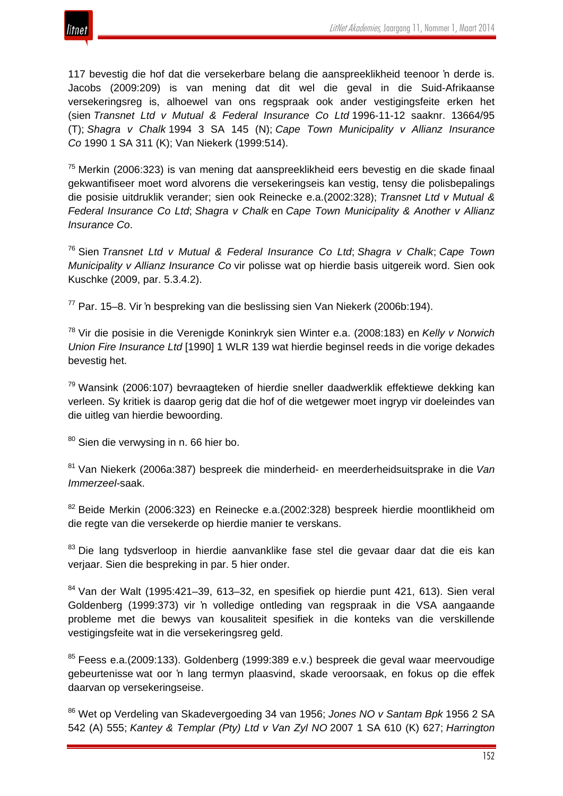

117 bevestig die hof dat die versekerbare belang die aanspreeklikheid teenoor 'n derde is. Jacobs (2009:209) is van mening dat dit wel die geval in die Suid-Afrikaanse versekeringsreg is, alhoewel van ons regspraak ook ander vestigingsfeite erken het (sien *Transnet Ltd v Mutual & Federal Insurance Co Ltd* 1996-11-12 saaknr. 13664/95 (T); *Shagra v Chalk* 1994 3 SA 145 (N); *Cape Town Municipality v Allianz Insurance Co* 1990 1 SA 311 (K); Van Niekerk (1999:514).

<sup>75</sup> Merkin (2006:323) is van mening dat aanspreeklikheid eers bevestig en die skade finaal gekwantifiseer moet word alvorens die versekeringseis kan vestig, tensy die polisbepalings die posisie uitdruklik verander; sien ook Reinecke e.a.(2002:328); *Transnet Ltd v Mutual & Federal Insurance Co Ltd*; *Shagra v Chalk* en *Cape Town Municipality & Another v Allianz Insurance Co*.

<sup>76</sup> Sien *Transnet Ltd v Mutual & Federal Insurance Co Ltd*; *Shagra v Chalk*; *Cape Town Municipality v Allianz Insurance Co* vir polisse wat op hierdie basis uitgereik word. Sien ook Kuschke (2009, par. 5.3.4.2).

 $77$  Par. 15–8. Vir 'n bespreking van die beslissing sien Van Niekerk (2006b:194).

<sup>78</sup> Vir die posisie in die Verenigde Koninkryk sien Winter e.a. (2008:183) en *Kelly v Norwich Union Fire Insurance Ltd* [1990] 1 WLR 139 wat hierdie beginsel reeds in die vorige dekades bevestig het.

 $79$  Wansink (2006:107) bevraagteken of hierdie sneller daadwerklik effektiewe dekking kan verleen. Sy kritiek is daarop gerig dat die hof of die wetgewer moet ingryp vir doeleindes van die uitleg van hierdie bewoording.

80 Sien die verwysing in n. 66 hier bo.

<sup>81</sup> Van Niekerk (2006a:387) bespreek die minderheid- en meerderheidsuitsprake in die *Van Immerzeel-*saak.

<sup>82</sup> Beide Merkin (2006:323) en Reinecke e.a.(2002:328) bespreek hierdie moontlikheid om die regte van die versekerde op hierdie manier te verskans.

<sup>83</sup> Die lang tydsverloop in hierdie aanvanklike fase stel die gevaar daar dat die eis kan verjaar. Sien die bespreking in par. 5 hier onder.

 $84$  Van der Walt (1995:421–39, 613–32, en spesifiek op hierdie punt 421, 613). Sien veral Goldenberg (1999:373) vir 'n volledige ontleding van regspraak in die VSA aangaande probleme met die bewys van kousaliteit spesifiek in die konteks van die verskillende vestigingsfeite wat in die versekeringsreg geld.

<sup>85</sup> Feess e.a.(2009:133). Goldenberg (1999:389 e.v.) bespreek die geval waar meervoudige gebeurtenisse wat oor 'n lang termyn plaasvind, skade veroorsaak, en fokus op die effek daarvan op versekeringseise.

<sup>86</sup> Wet op Verdeling van Skadevergoeding 34 van 1956; *Jones NO v Santam Bpk* 1956 2 SA 542 (A) 555; *Kantey & Templar (Pty) Ltd v Van Zyl NO* 2007 1 SA 610 (K) 627; *Harrington*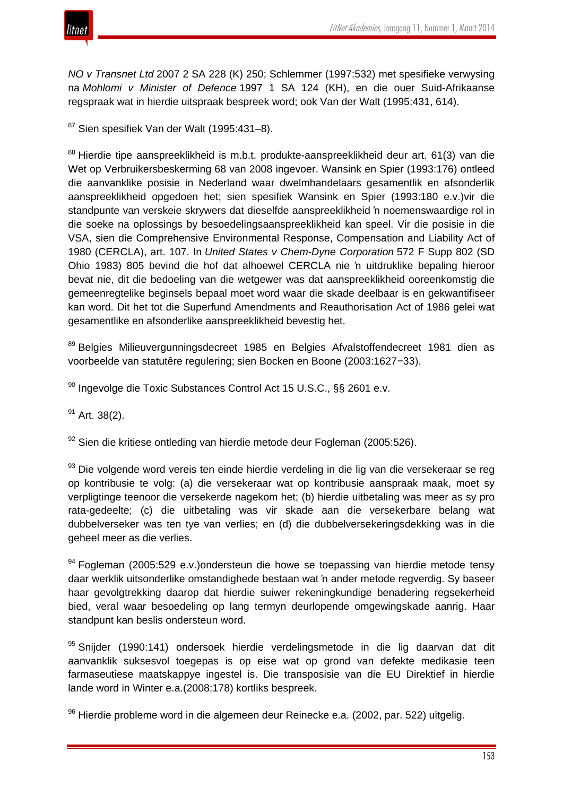

*NO v Transnet Ltd* 2007 2 SA 228 (K) 250; Schlemmer (1997:532) met spesifieke verwysing na *Mohlomi v Minister of Defence* 1997 1 SA 124 (KH), en die ouer Suid-Afrikaanse regspraak wat in hierdie uitspraak bespreek word; ook Van der Walt (1995:431, 614).

 $87$  Sien spesifiek Van der Walt (1995:431–8).

<sup>88</sup> Hierdie tipe aanspreeklikheid is m.b.t. produkte-aanspreeklikheid deur art. 61(3) van die Wet op Verbruikersbeskerming 68 van 2008 ingevoer. Wansink en Spier (1993:176) ontleed die aanvanklike posisie in Nederland waar dwelmhandelaars gesamentlik en afsonderlik aanspreeklikheid opgedoen het; sien spesifiek Wansink en Spier (1993:180 e.v.)vir die standpunte van verskeie skrywers dat dieselfde aanspreeklikheid 'n noemenswaardige rol in die soeke na oplossings by besoedelingsaanspreeklikheid kan speel. Vir die posisie in die VSA, sien die Comprehensive Environmental Response, Compensation and Liability Act of 1980 (CERCLA), art. 107. In *United States v Chem-Dyne Corporation* 572 F Supp 802 (SD Ohio 1983) 805 bevind die hof dat alhoewel CERCLA nie 'n uitdruklike bepaling hieroor bevat nie, dit die bedoeling van die wetgewer was dat aanspreeklikheid ooreenkomstig die gemeenregtelike beginsels bepaal moet word waar die skade deelbaar is en gekwantifiseer kan word. Dit het tot die Superfund Amendments and Reauthorisation Act of 1986 gelei wat gesamentlike en afsonderlike aanspreeklikheid bevestig het.

89 Belgies Milieuvergunningsdecreet 1985 en Belgies Afvalstoffendecreet 1981 dien as voorbeelde van statutêre regulering; sien Bocken en Boone (2003:1627−33).

90 Ingevolge die Toxic Substances Control Act 15 U.S.C., §§ 2601 e.v.

 $91$  Art. 38(2).

 $92$  Sien die kritiese ontleding van hierdie metode deur Fogleman (2005:526).

<sup>93</sup> Die volgende word vereis ten einde hierdie verdeling in die lig van die versekeraar se reg op kontribusie te volg: (a) die versekeraar wat op kontribusie aanspraak maak, moet sy verpligtinge teenoor die versekerde nagekom het; (b) hierdie uitbetaling was meer as sy pro rata-gedeelte; (c) die uitbetaling was vir skade aan die versekerbare belang wat dubbelverseker was ten tye van verlies; en (d) die dubbelversekeringsdekking was in die geheel meer as die verlies.

 $94}$  Fogleman (2005:529 e.v.)ondersteun die howe se toepassing van hierdie metode tensy daar werklik uitsonderlike omstandighede bestaan wat 'n ander metode regverdig. Sy baseer haar gevolgtrekking daarop dat hierdie suiwer rekeningkundige benadering regsekerheid bied, veral waar besoedeling op lang termyn deurlopende omgewingskade aanrig. Haar standpunt kan beslis ondersteun word.

95 Snijder (1990:141) ondersoek hierdie verdelingsmetode in die lig daarvan dat dit aanvanklik suksesvol toegepas is op eise wat op grond van defekte medikasie teen farmaseutiese maatskappye ingestel is. Die transposisie van die EU Direktief in hierdie lande word in Winter e.a.(2008:178) kortliks bespreek.

 $96$  Hierdie probleme word in die algemeen deur Reinecke e.a. (2002, par. 522) uitgelig.